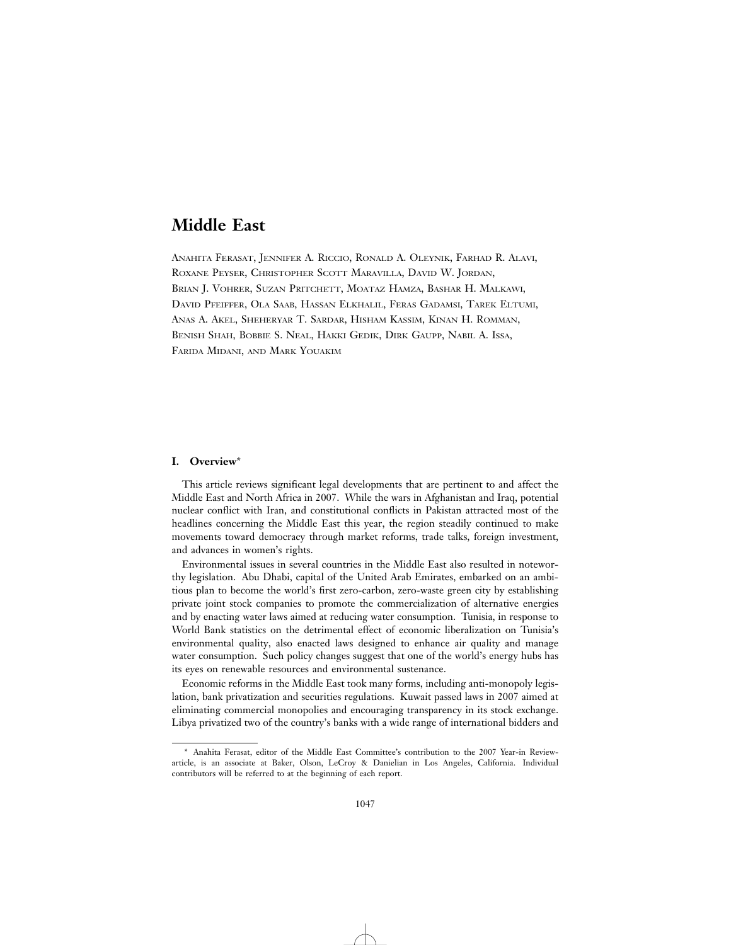# **Middle East**

ANAHITA FERASAT, JENNIFER A. RICCIO, RONALD A. OLEYNIK, FARHAD R. ALAVI, ROXANE PEYSER, CHRISTOPHER SCOTT MARAVILLA, DAVID W. JORDAN, BRIAN J. VOHRER, SUZAN PRITCHETT, MOATAZ HAMZA, BASHAR H. MALKAWI, DAVID PFEIFFER, OLA SAAB, HASSAN ELKHALIL, FERAS GADAMSI, TAREK ELTUMI, ANAS A. AKEL, SHEHERYAR T. SARDAR, HISHAM KASSIM, KINAN H. ROMMAN, BENISH SHAH, BOBBIE S. NEAL, HAKKI GEDIK, DIRK GAUPP, NABIL A. ISSA, FARIDA MIDANI, AND MARK YOUAKIM

# **I. Overview**\*

This article reviews significant legal developments that are pertinent to and affect the Middle East and North Africa in 2007. While the wars in Afghanistan and Iraq, potential nuclear conflict with Iran, and constitutional conflicts in Pakistan attracted most of the headlines concerning the Middle East this year, the region steadily continued to make movements toward democracy through market reforms, trade talks, foreign investment, and advances in women's rights.

Environmental issues in several countries in the Middle East also resulted in noteworthy legislation. Abu Dhabi, capital of the United Arab Emirates, embarked on an ambitious plan to become the world's first zero-carbon, zero-waste green city by establishing private joint stock companies to promote the commercialization of alternative energies and by enacting water laws aimed at reducing water consumption. Tunisia, in response to World Bank statistics on the detrimental effect of economic liberalization on Tunisia's environmental quality, also enacted laws designed to enhance air quality and manage water consumption. Such policy changes suggest that one of the world's energy hubs has its eyes on renewable resources and environmental sustenance.

Economic reforms in the Middle East took many forms, including anti-monopoly legislation, bank privatization and securities regulations. Kuwait passed laws in 2007 aimed at eliminating commercial monopolies and encouraging transparency in its stock exchange. Libya privatized two of the country's banks with a wide range of international bidders and

<sup>\*</sup> Anahita Ferasat, editor of the Middle East Committee's contribution to the 2007 Year-in Reviewarticle, is an associate at Baker, Olson, LeCroy & Danielian in Los Angeles, California. Individual contributors will be referred to at the beginning of each report.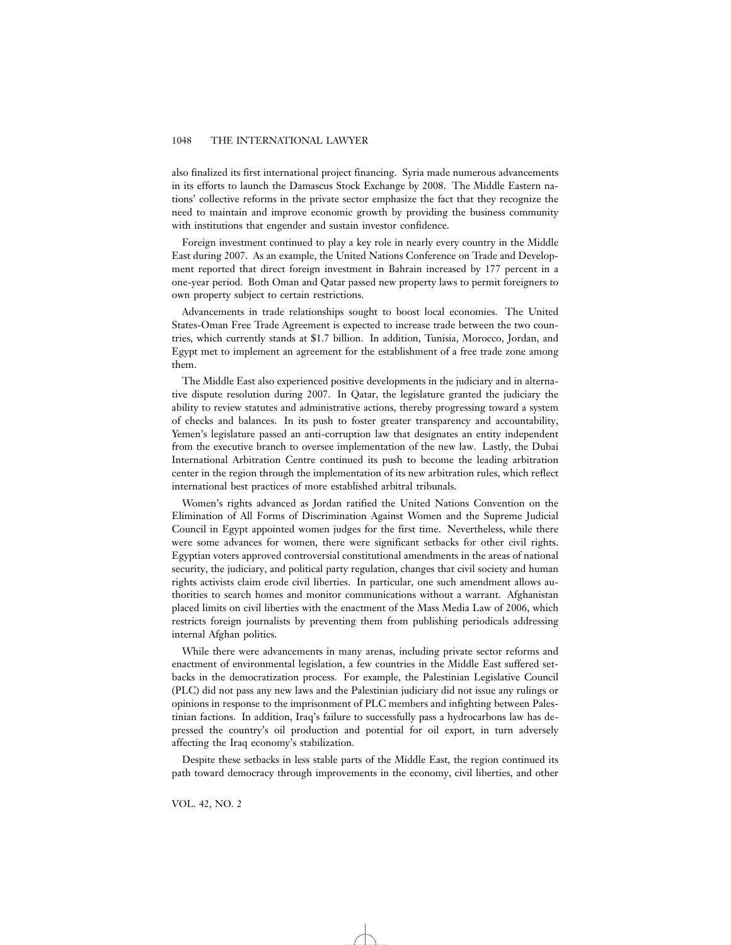also finalized its first international project financing. Syria made numerous advancements in its efforts to launch the Damascus Stock Exchange by 2008. The Middle Eastern nations' collective reforms in the private sector emphasize the fact that they recognize the need to maintain and improve economic growth by providing the business community with institutions that engender and sustain investor confidence.

Foreign investment continued to play a key role in nearly every country in the Middle East during 2007. As an example, the United Nations Conference on Trade and Development reported that direct foreign investment in Bahrain increased by 177 percent in a one-year period. Both Oman and Qatar passed new property laws to permit foreigners to own property subject to certain restrictions.

Advancements in trade relationships sought to boost local economies. The United States-Oman Free Trade Agreement is expected to increase trade between the two countries, which currently stands at \$1.7 billion. In addition, Tunisia, Morocco, Jordan, and Egypt met to implement an agreement for the establishment of a free trade zone among them.

The Middle East also experienced positive developments in the judiciary and in alternative dispute resolution during 2007. In Qatar, the legislature granted the judiciary the ability to review statutes and administrative actions, thereby progressing toward a system of checks and balances. In its push to foster greater transparency and accountability, Yemen's legislature passed an anti-corruption law that designates an entity independent from the executive branch to oversee implementation of the new law. Lastly, the Dubai International Arbitration Centre continued its push to become the leading arbitration center in the region through the implementation of its new arbitration rules, which reflect international best practices of more established arbitral tribunals.

Women's rights advanced as Jordan ratified the United Nations Convention on the Elimination of All Forms of Discrimination Against Women and the Supreme Judicial Council in Egypt appointed women judges for the first time. Nevertheless, while there were some advances for women, there were significant setbacks for other civil rights. Egyptian voters approved controversial constitutional amendments in the areas of national security, the judiciary, and political party regulation, changes that civil society and human rights activists claim erode civil liberties. In particular, one such amendment allows authorities to search homes and monitor communications without a warrant. Afghanistan placed limits on civil liberties with the enactment of the Mass Media Law of 2006, which restricts foreign journalists by preventing them from publishing periodicals addressing internal Afghan politics.

While there were advancements in many arenas, including private sector reforms and enactment of environmental legislation, a few countries in the Middle East suffered setbacks in the democratization process. For example, the Palestinian Legislative Council (PLC) did not pass any new laws and the Palestinian judiciary did not issue any rulings or opinions in response to the imprisonment of PLC members and infighting between Palestinian factions. In addition, Iraq's failure to successfully pass a hydrocarbons law has depressed the country's oil production and potential for oil export, in turn adversely affecting the Iraq economy's stabilization.

Despite these setbacks in less stable parts of the Middle East, the region continued its path toward democracy through improvements in the economy, civil liberties, and other

VOL. 42, NO. 2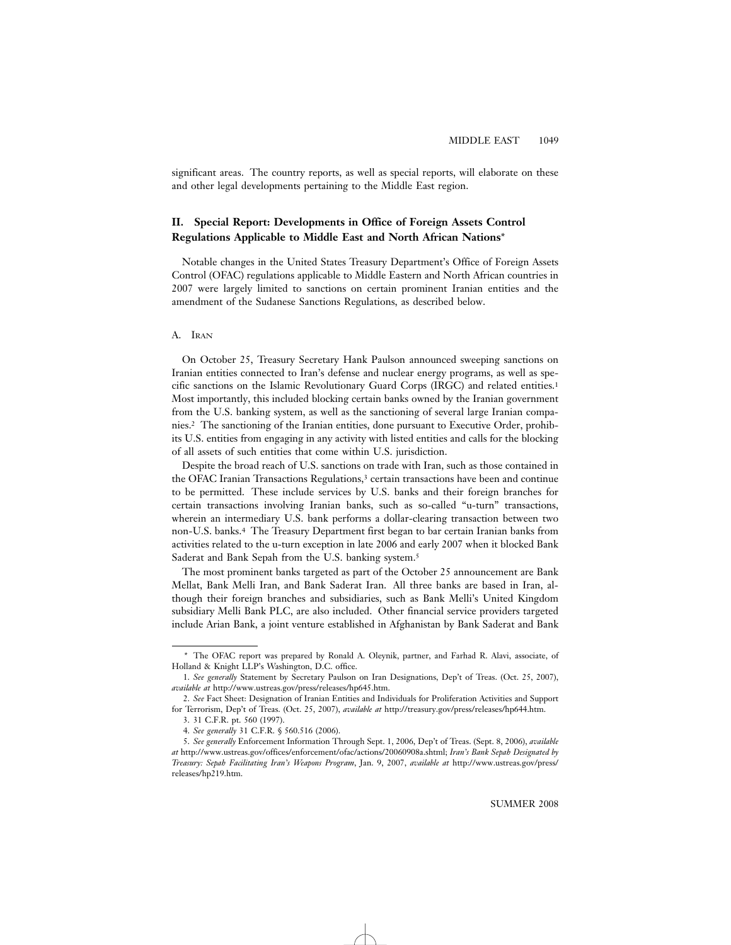significant areas. The country reports, as well as special reports, will elaborate on these and other legal developments pertaining to the Middle East region.

# **II. Special Report: Developments in Office of Foreign Assets Control Regulations Applicable to Middle East and North African Nations**\*

Notable changes in the United States Treasury Department's Office of Foreign Assets Control (OFAC) regulations applicable to Middle Eastern and North African countries in 2007 were largely limited to sanctions on certain prominent Iranian entities and the amendment of the Sudanese Sanctions Regulations, as described below.

### A. IRAN

On October 25, Treasury Secretary Hank Paulson announced sweeping sanctions on Iranian entities connected to Iran's defense and nuclear energy programs, as well as specific sanctions on the Islamic Revolutionary Guard Corps (IRGC) and related entities.1 Most importantly, this included blocking certain banks owned by the Iranian government from the U.S. banking system, as well as the sanctioning of several large Iranian companies.2 The sanctioning of the Iranian entities, done pursuant to Executive Order, prohibits U.S. entities from engaging in any activity with listed entities and calls for the blocking of all assets of such entities that come within U.S. jurisdiction.

Despite the broad reach of U.S. sanctions on trade with Iran, such as those contained in the OFAC Iranian Transactions Regulations,<sup>3</sup> certain transactions have been and continue to be permitted. These include services by U.S. banks and their foreign branches for certain transactions involving Iranian banks, such as so-called "u-turn" transactions, wherein an intermediary U.S. bank performs a dollar-clearing transaction between two non-U.S. banks.4 The Treasury Department first began to bar certain Iranian banks from activities related to the u-turn exception in late 2006 and early 2007 when it blocked Bank Saderat and Bank Sepah from the U.S. banking system.5

The most prominent banks targeted as part of the October 25 announcement are Bank Mellat, Bank Melli Iran, and Bank Saderat Iran. All three banks are based in Iran, although their foreign branches and subsidiaries, such as Bank Melli's United Kingdom subsidiary Melli Bank PLC, are also included. Other financial service providers targeted include Arian Bank, a joint venture established in Afghanistan by Bank Saderat and Bank

<sup>\*</sup> The OFAC report was prepared by Ronald A. Oleynik, partner, and Farhad R. Alavi, associate, of Holland & Knight LLP's Washington, D.C. office.

<sup>1.</sup> *See generally* Statement by Secretary Paulson on Iran Designations, Dep't of Treas. (Oct. 25, 2007), *available at* http://www.ustreas.gov/press/releases/hp645.htm.

<sup>2.</sup> *See* Fact Sheet: Designation of Iranian Entities and Individuals for Proliferation Activities and Support for Terrorism, Dep't of Treas. (Oct. 25, 2007), *available at* http://treasury.gov/press/releases/hp644.htm.

<sup>3. 31</sup> C.F.R. pt. 560 (1997).

<sup>4.</sup> *See generally* 31 C.F.R. § 560.516 (2006).

<sup>5.</sup> *See generally* Enforcement Information Through Sept. 1, 2006, Dep't of Treas. (Sept. 8, 2006), *available at* http://www.ustreas.gov/offices/enforcement/ofac/actions/20060908a.shtml; *Iran's Bank Sepah Designated by Treasury: Sepah Facilitating Iran's Weapons Program*, Jan. 9, 2007, *available at* http://www.ustreas.gov/press/ releases/hp219.htm.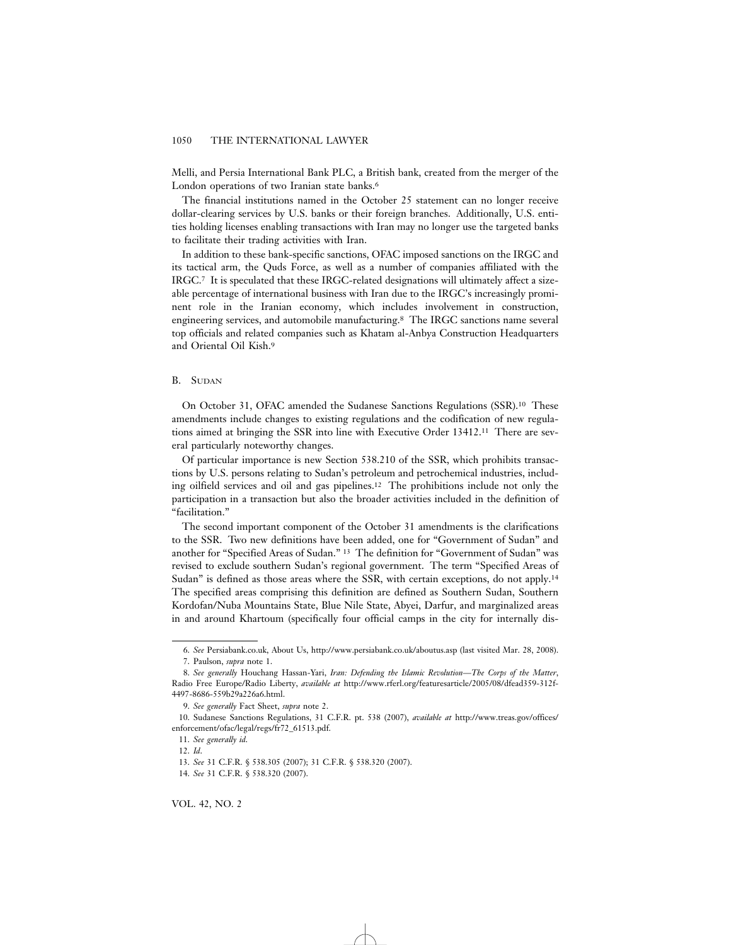Melli, and Persia International Bank PLC, a British bank, created from the merger of the London operations of two Iranian state banks.<sup>6</sup>

The financial institutions named in the October 25 statement can no longer receive dollar-clearing services by U.S. banks or their foreign branches. Additionally, U.S. entities holding licenses enabling transactions with Iran may no longer use the targeted banks to facilitate their trading activities with Iran.

In addition to these bank-specific sanctions, OFAC imposed sanctions on the IRGC and its tactical arm, the Quds Force, as well as a number of companies affiliated with the IRGC.7 It is speculated that these IRGC-related designations will ultimately affect a sizeable percentage of international business with Iran due to the IRGC's increasingly prominent role in the Iranian economy, which includes involvement in construction, engineering services, and automobile manufacturing.8 The IRGC sanctions name several top officials and related companies such as Khatam al-Anbya Construction Headquarters and Oriental Oil Kish.9

### B. SUDAN

On October 31, OFAC amended the Sudanese Sanctions Regulations (SSR).10 These amendments include changes to existing regulations and the codification of new regulations aimed at bringing the SSR into line with Executive Order 13412.11 There are several particularly noteworthy changes.

Of particular importance is new Section 538.210 of the SSR, which prohibits transactions by U.S. persons relating to Sudan's petroleum and petrochemical industries, including oilfield services and oil and gas pipelines.12 The prohibitions include not only the participation in a transaction but also the broader activities included in the definition of "facilitation."

The second important component of the October 31 amendments is the clarifications to the SSR. Two new definitions have been added, one for "Government of Sudan" and another for "Specified Areas of Sudan." 13 The definition for "Government of Sudan" was revised to exclude southern Sudan's regional government. The term "Specified Areas of Sudan" is defined as those areas where the SSR, with certain exceptions, do not apply.14 The specified areas comprising this definition are defined as Southern Sudan, Southern Kordofan/Nuba Mountains State, Blue Nile State, Abyei, Darfur, and marginalized areas in and around Khartoum (specifically four official camps in the city for internally dis-

<sup>6.</sup> *See* Persiabank.co.uk, About Us, http://www.persiabank.co.uk/aboutus.asp (last visited Mar. 28, 2008). 7. Paulson, *supra* note 1.

<sup>8.</sup> *See generally* Houchang Hassan-Yari, *Iran: Defending the Islamic Revolution—The Corps of the Matter*, Radio Free Europe/Radio Liberty, *available at* http://www.rferl.org/featuresarticle/2005/08/dfead359-312f-4497-8686-559b29a226a6.html.

<sup>9.</sup> *See generally* Fact Sheet, *supra* note 2.

<sup>10.</sup> Sudanese Sanctions Regulations, 31 C.F.R. pt. 538 (2007), *available at* http://www.treas.gov/offices/ enforcement/ofac/legal/regs/fr72\_61513.pdf.

<sup>11.</sup> *See generally id*. 12. *Id*.

<sup>13.</sup> *See* 31 C.F.R. § 538.305 (2007); 31 C.F.R. § 538.320 (2007).

<sup>14.</sup> *See* 31 C.F.R. § 538.320 (2007).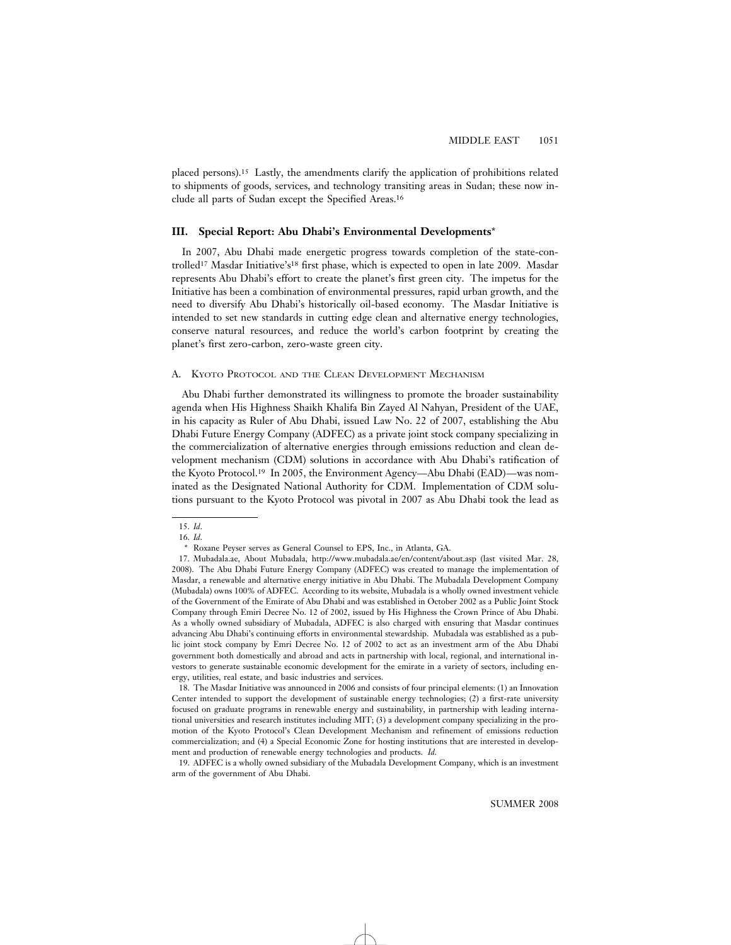placed persons).15 Lastly, the amendments clarify the application of prohibitions related to shipments of goods, services, and technology transiting areas in Sudan; these now include all parts of Sudan except the Specified Areas.16

# **III. Special Report: Abu Dhabi's Environmental Developments**\*

In 2007, Abu Dhabi made energetic progress towards completion of the state-controlled17 Masdar Initiative's18 first phase, which is expected to open in late 2009. Masdar represents Abu Dhabi's effort to create the planet's first green city. The impetus for the Initiative has been a combination of environmental pressures, rapid urban growth, and the need to diversify Abu Dhabi's historically oil-based economy. The Masdar Initiative is intended to set new standards in cutting edge clean and alternative energy technologies, conserve natural resources, and reduce the world's carbon footprint by creating the planet's first zero-carbon, zero-waste green city.

#### A. KYOTO PROTOCOL AND THE CLEAN DEVELOPMENT MECHANISM

Abu Dhabi further demonstrated its willingness to promote the broader sustainability agenda when His Highness Shaikh Khalifa Bin Zayed Al Nahyan, President of the UAE, in his capacity as Ruler of Abu Dhabi, issued Law No. 22 of 2007, establishing the Abu Dhabi Future Energy Company (ADFEC) as a private joint stock company specializing in the commercialization of alternative energies through emissions reduction and clean development mechanism (CDM) solutions in accordance with Abu Dhabi's ratification of the Kyoto Protocol.19 In 2005, the Environment Agency—Abu Dhabi (EAD)—was nominated as the Designated National Authority for CDM. Implementation of CDM solutions pursuant to the Kyoto Protocol was pivotal in 2007 as Abu Dhabi took the lead as

<sup>15.</sup> *Id*.

<sup>16.</sup> *Id*.

<sup>\*</sup> Roxane Peyser serves as General Counsel to EPS, Inc., in Atlanta, GA.

<sup>17.</sup> Mubadala.ae, About Mubadala, http://www.mubadala.ae/en/content/about.asp (last visited Mar. 28, 2008). The Abu Dhabi Future Energy Company (ADFEC) was created to manage the implementation of Masdar, a renewable and alternative energy initiative in Abu Dhabi. The Mubadala Development Company (Mubadala) owns 100% of ADFEC. According to its website, Mubadala is a wholly owned investment vehicle of the Government of the Emirate of Abu Dhabi and was established in October 2002 as a Public Joint Stock Company through Emiri Decree No. 12 of 2002, issued by His Highness the Crown Prince of Abu Dhabi. As a wholly owned subsidiary of Mubadala, ADFEC is also charged with ensuring that Masdar continues advancing Abu Dhabi's continuing efforts in environmental stewardship. Mubadala was established as a public joint stock company by Emri Decree No. 12 of 2002 to act as an investment arm of the Abu Dhabi government both domestically and abroad and acts in partnership with local, regional, and international investors to generate sustainable economic development for the emirate in a variety of sectors, including energy, utilities, real estate, and basic industries and services.

<sup>18.</sup> The Masdar Initiative was announced in 2006 and consists of four principal elements: (1) an Innovation Center intended to support the development of sustainable energy technologies; (2) a first-rate university focused on graduate programs in renewable energy and sustainability, in partnership with leading international universities and research institutes including MIT; (3) a development company specializing in the promotion of the Kyoto Protocol's Clean Development Mechanism and refinement of emissions reduction commercialization; and (4) a Special Economic Zone for hosting institutions that are interested in development and production of renewable energy technologies and products. *Id*.

<sup>19.</sup> ADFEC is a wholly owned subsidiary of the Mubadala Development Company, which is an investment arm of the government of Abu Dhabi.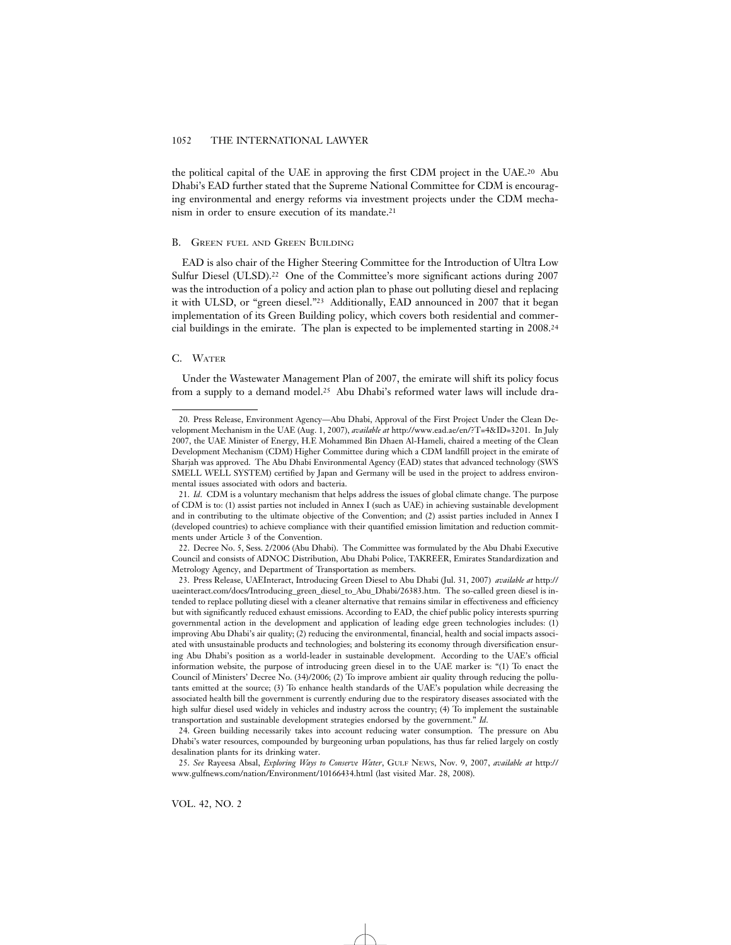the political capital of the UAE in approving the first CDM project in the UAE.20 Abu Dhabi's EAD further stated that the Supreme National Committee for CDM is encouraging environmental and energy reforms via investment projects under the CDM mechanism in order to ensure execution of its mandate.21

#### B. GREEN FUEL AND GREEN BUILDING

EAD is also chair of the Higher Steering Committee for the Introduction of Ultra Low Sulfur Diesel (ULSD).<sup>22</sup> One of the Committee's more significant actions during 2007 was the introduction of a policy and action plan to phase out polluting diesel and replacing it with ULSD, or "green diesel."23 Additionally, EAD announced in 2007 that it began implementation of its Green Building policy, which covers both residential and commercial buildings in the emirate. The plan is expected to be implemented starting in 2008.24

# C. WATER

Under the Wastewater Management Plan of 2007, the emirate will shift its policy focus from a supply to a demand model.25 Abu Dhabi's reformed water laws will include dra-

<sup>20.</sup> Press Release, Environment Agency—Abu Dhabi, Approval of the First Project Under the Clean Development Mechanism in the UAE (Aug. 1, 2007), *available at* http://www.ead.ae/en/?T=4&ID=3201. In July 2007, the UAE Minister of Energy, H.E Mohammed Bin Dhaen Al-Hameli, chaired a meeting of the Clean Development Mechanism (CDM) Higher Committee during which a CDM landfill project in the emirate of Sharjah was approved. The Abu Dhabi Environmental Agency (EAD) states that advanced technology (SWS SMELL WELL SYSTEM) certified by Japan and Germany will be used in the project to address environmental issues associated with odors and bacteria.

<sup>21.</sup> *Id*. CDM is a voluntary mechanism that helps address the issues of global climate change. The purpose of CDM is to: (1) assist parties not included in Annex I (such as UAE) in achieving sustainable development and in contributing to the ultimate objective of the Convention; and (2) assist parties included in Annex I (developed countries) to achieve compliance with their quantified emission limitation and reduction commitments under Article 3 of the Convention.

<sup>22.</sup> Decree No. 5, Sess. 2/2006 (Abu Dhabi). The Committee was formulated by the Abu Dhabi Executive Council and consists of ADNOC Distribution, Abu Dhabi Police, TAKREER, Emirates Standardization and Metrology Agency, and Department of Transportation as members.

<sup>23.</sup> Press Release, UAEInteract, Introducing Green Diesel to Abu Dhabi (Jul. 31, 2007) *available at* http:// uaeinteract.com/docs/Introducing\_green\_diesel\_to\_Abu\_Dhabi/26383.htm. The so-called green diesel is intended to replace polluting diesel with a cleaner alternative that remains similar in effectiveness and efficiency but with significantly reduced exhaust emissions. According to EAD, the chief public policy interests spurring governmental action in the development and application of leading edge green technologies includes: (1) improving Abu Dhabi's air quality; (2) reducing the environmental, financial, health and social impacts associated with unsustainable products and technologies; and bolstering its economy through diversification ensuring Abu Dhabi's position as a world-leader in sustainable development. According to the UAE's official information website, the purpose of introducing green diesel in to the UAE marker is: "(1) To enact the Council of Ministers' Decree No. (34)/2006; (2) To improve ambient air quality through reducing the pollutants emitted at the source; (3) To enhance health standards of the UAE's population while decreasing the associated health bill the government is currently enduring due to the respiratory diseases associated with the high sulfur diesel used widely in vehicles and industry across the country; (4) To implement the sustainable transportation and sustainable development strategies endorsed by the government." *Id*.

<sup>24.</sup> Green building necessarily takes into account reducing water consumption. The pressure on Abu Dhabi's water resources, compounded by burgeoning urban populations, has thus far relied largely on costly desalination plants for its drinking water.

<sup>25.</sup> *See* Rayeesa Absal, *Exploring Ways to Conserve Water*, GULF NEWS, Nov. 9, 2007, *available at* http:// www.gulfnews.com/nation/Environment/10166434.html (last visited Mar. 28, 2008).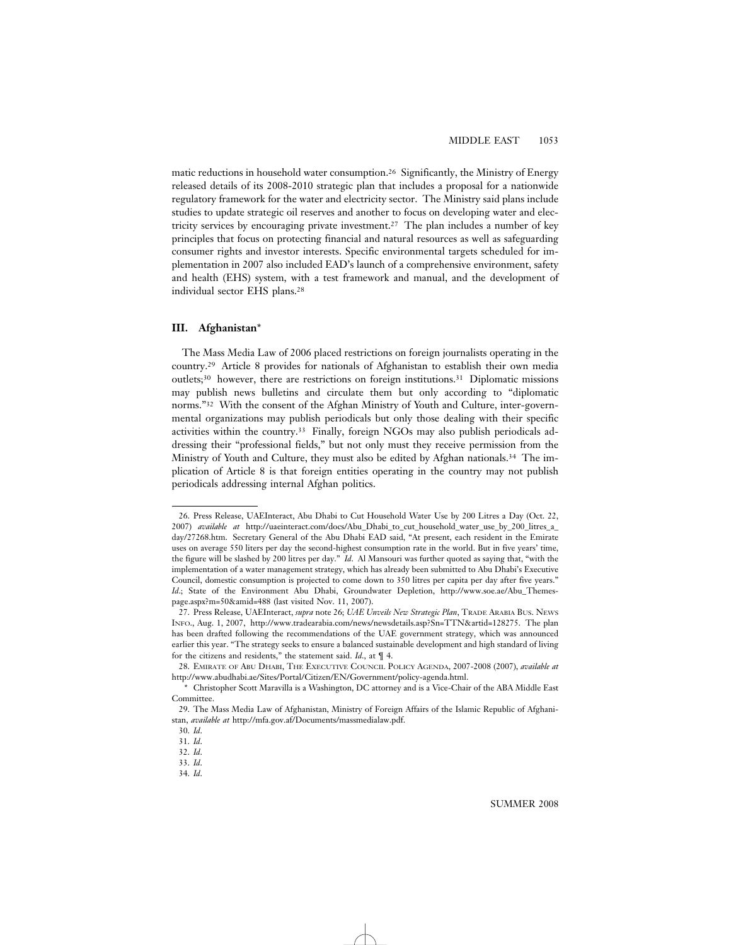matic reductions in household water consumption.26 Significantly, the Ministry of Energy released details of its 2008-2010 strategic plan that includes a proposal for a nationwide regulatory framework for the water and electricity sector. The Ministry said plans include studies to update strategic oil reserves and another to focus on developing water and electricity services by encouraging private investment.27 The plan includes a number of key principles that focus on protecting financial and natural resources as well as safeguarding consumer rights and investor interests. Specific environmental targets scheduled for implementation in 2007 also included EAD's launch of a comprehensive environment, safety and health (EHS) system, with a test framework and manual, and the development of individual sector EHS plans.28

### **III. Afghanistan**\*

The Mass Media Law of 2006 placed restrictions on foreign journalists operating in the country.29 Article 8 provides for nationals of Afghanistan to establish their own media outlets;30 however, there are restrictions on foreign institutions.31 Diplomatic missions may publish news bulletins and circulate them but only according to "diplomatic norms."32 With the consent of the Afghan Ministry of Youth and Culture, inter-governmental organizations may publish periodicals but only those dealing with their specific activities within the country.33 Finally, foreign NGOs may also publish periodicals addressing their "professional fields," but not only must they receive permission from the Ministry of Youth and Culture, they must also be edited by Afghan nationals.34 The implication of Article 8 is that foreign entities operating in the country may not publish periodicals addressing internal Afghan politics.

<sup>26.</sup> Press Release, UAEInteract, Abu Dhabi to Cut Household Water Use by 200 Litres a Day (Oct. 22, 2007) *available at* http://uaeinteract.com/docs/Abu\_Dhabi\_to\_cut\_household\_water\_use\_by\_200\_litres\_a\_ day/27268.htm. Secretary General of the Abu Dhabi EAD said, "At present, each resident in the Emirate uses on average 550 liters per day the second-highest consumption rate in the world. But in five years' time, the figure will be slashed by 200 litres per day." *Id*. Al Mansouri was further quoted as saying that, "with the implementation of a water management strategy, which has already been submitted to Abu Dhabi's Executive Council, domestic consumption is projected to come down to 350 litres per capita per day after five years." *Id*.; State of the Environment Abu Dhabi, Groundwater Depletion, http://www.soe.ae/Abu\_Themespage.aspx?m=50&amid=488 (last visited Nov. 11, 2007).

<sup>27.</sup> Press Release, UAEInteract, *supra* note 26; *UAE Unveils New Strategic Plan*, TRADE ARABIA BUS. NEWS INFO., Aug. 1, 2007, http://www.tradearabia.com/news/newsdetails.asp?Sn=TTN&artid=128275. The plan has been drafted following the recommendations of the UAE government strategy, which was announced earlier this year. "The strategy seeks to ensure a balanced sustainable development and high standard of living for the citizens and residents," the statement said. *Id*., at ¶ 4.

<sup>28.</sup> EMIRATE OF ABU DHABI, THE EXECUTIVE COUNCIL POLICY AGENDA, 2007-2008 (2007), *available at* http://www.abudhabi.ae/Sites/Portal/Citizen/EN/Government/policy-agenda.html.

<sup>\*</sup> Christopher Scott Maravilla is a Washington, DC attorney and is a Vice-Chair of the ABA Middle East Committee.

<sup>29.</sup> The Mass Media Law of Afghanistan, Ministry of Foreign Affairs of the Islamic Republic of Afghanistan, *available at* http://mfa.gov.af/Documents/massmedialaw.pdf.

<sup>30.</sup> *Id*.

<sup>31.</sup> *Id*.

<sup>32.</sup> *Id*.

<sup>33.</sup> *Id*.

<sup>34.</sup> *Id*.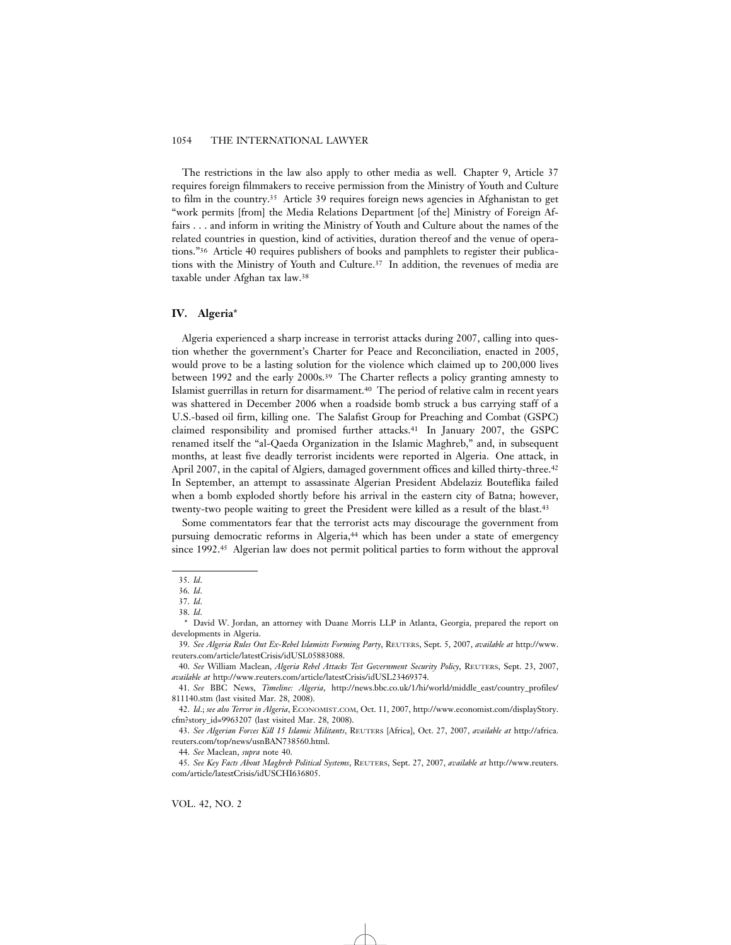The restrictions in the law also apply to other media as well. Chapter 9, Article 37 requires foreign filmmakers to receive permission from the Ministry of Youth and Culture to film in the country.35 Article 39 requires foreign news agencies in Afghanistan to get "work permits [from] the Media Relations Department [of the] Ministry of Foreign Affairs . . . and inform in writing the Ministry of Youth and Culture about the names of the related countries in question, kind of activities, duration thereof and the venue of operations."36 Article 40 requires publishers of books and pamphlets to register their publications with the Ministry of Youth and Culture.37 In addition, the revenues of media are taxable under Afghan tax law.38

### **IV. Algeria**\*

Algeria experienced a sharp increase in terrorist attacks during 2007, calling into question whether the government's Charter for Peace and Reconciliation, enacted in 2005, would prove to be a lasting solution for the violence which claimed up to 200,000 lives between 1992 and the early 2000s.39 The Charter reflects a policy granting amnesty to Islamist guerrillas in return for disarmament.40 The period of relative calm in recent years was shattered in December 2006 when a roadside bomb struck a bus carrying staff of a U.S.-based oil firm, killing one. The Salafist Group for Preaching and Combat (GSPC) claimed responsibility and promised further attacks.41 In January 2007, the GSPC renamed itself the "al-Qaeda Organization in the Islamic Maghreb," and, in subsequent months, at least five deadly terrorist incidents were reported in Algeria. One attack, in April 2007, in the capital of Algiers, damaged government offices and killed thirty-three.<sup>42</sup> In September, an attempt to assassinate Algerian President Abdelaziz Bouteflika failed when a bomb exploded shortly before his arrival in the eastern city of Batna; however, twenty-two people waiting to greet the President were killed as a result of the blast.43

Some commentators fear that the terrorist acts may discourage the government from pursuing democratic reforms in Algeria,44 which has been under a state of emergency since 1992.45 Algerian law does not permit political parties to form without the approval

44. *See* Maclean, *supra* note 40.

<sup>35.</sup> *Id*.

<sup>36.</sup> *Id*.

<sup>37.</sup> *Id*.

<sup>38.</sup> *Id*.

<sup>\*</sup> David W. Jordan, an attorney with Duane Morris LLP in Atlanta, Georgia, prepared the report on developments in Algeria.

<sup>39.</sup> *See Algeria Rules Out Ex-Rebel Islamists Forming Party*, REUTERS, Sept. 5, 2007, *available at* http://www. reuters.com/article/latestCrisis/idUSL05883088.

<sup>40.</sup> *See* William Maclean, *Algeria Rebel Attacks Test Government Security Policy*, REUTERS, Sept. 23, 2007, *available at* http://www.reuters.com/article/latestCrisis/idUSL23469374.

<sup>41.</sup> *See* BBC News, *Timeline: Algeria*, http://news.bbc.co.uk/1/hi/world/middle\_east/country\_profiles/ 811140.stm (last visited Mar. 28, 2008).

<sup>42.</sup> *Id*.; *see also Terror in Algeria*, ECONOMIST.COM, Oct. 11, 2007, http://www.economist.com/displayStory. cfm?story\_id=9963207 (last visited Mar. 28, 2008).

<sup>43.</sup> *See Algerian Forces Kill 15 Islamic Militants*, REUTERS [Africa], Oct. 27, 2007, *available at* http://africa. reuters.com/top/news/usnBAN738560.html.

<sup>45.</sup> *See Key Facts About Maghreb Political Systems*, REUTERS, Sept. 27, 2007, *available at* http://www.reuters. com/article/latestCrisis/idUSCHI636805.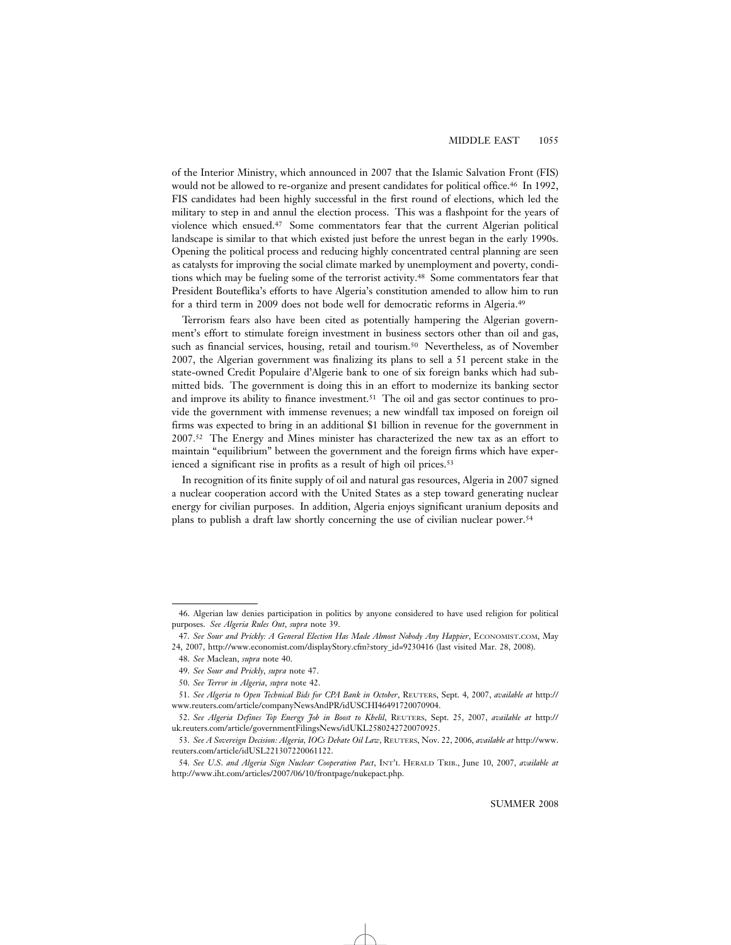# MIDDLE EAST 1055

of the Interior Ministry, which announced in 2007 that the Islamic Salvation Front (FIS) would not be allowed to re-organize and present candidates for political office.<sup>46</sup> In 1992, FIS candidates had been highly successful in the first round of elections, which led the military to step in and annul the election process. This was a flashpoint for the years of violence which ensued.47 Some commentators fear that the current Algerian political landscape is similar to that which existed just before the unrest began in the early 1990s. Opening the political process and reducing highly concentrated central planning are seen as catalysts for improving the social climate marked by unemployment and poverty, conditions which may be fueling some of the terrorist activity.48 Some commentators fear that President Bouteflika's efforts to have Algeria's constitution amended to allow him to run for a third term in 2009 does not bode well for democratic reforms in Algeria.49

Terrorism fears also have been cited as potentially hampering the Algerian government's effort to stimulate foreign investment in business sectors other than oil and gas, such as financial services, housing, retail and tourism.50 Nevertheless, as of November 2007, the Algerian government was finalizing its plans to sell a 51 percent stake in the state-owned Credit Populaire d'Algerie bank to one of six foreign banks which had submitted bids. The government is doing this in an effort to modernize its banking sector and improve its ability to finance investment.51 The oil and gas sector continues to provide the government with immense revenues; a new windfall tax imposed on foreign oil firms was expected to bring in an additional \$1 billion in revenue for the government in 2007.52 The Energy and Mines minister has characterized the new tax as an effort to maintain "equilibrium" between the government and the foreign firms which have experienced a significant rise in profits as a result of high oil prices.<sup>53</sup>

In recognition of its finite supply of oil and natural gas resources, Algeria in 2007 signed a nuclear cooperation accord with the United States as a step toward generating nuclear energy for civilian purposes. In addition, Algeria enjoys significant uranium deposits and plans to publish a draft law shortly concerning the use of civilian nuclear power.54

<sup>46.</sup> Algerian law denies participation in politics by anyone considered to have used religion for political purposes. *See Algeria Rules Out*, *supra* note 39.

<sup>47.</sup> *See Sour and Prickly: A General Election Has Made Almost Nobody Any Happier*, ECONOMIST.COM, May 24, 2007, http://www.economist.com/displayStory.cfm?story\_id=9230416 (last visited Mar. 28, 2008).

<sup>48.</sup> *See* Maclean, *supra* note 40.

<sup>49.</sup> *See Sour and Prickly*, *supra* note 47.

<sup>50.</sup> *See Terror in Algeria*, *supra* note 42.

<sup>51.</sup> *See Algeria to Open Technical Bids for CPA Bank in October*, REUTERS, Sept. 4, 2007, *available at* http:// www.reuters.com/article/companyNewsAndPR/idUSCHI46491720070904.

<sup>52.</sup> *See Algeria Defines Top Energy Job in Boost to Khelil*, REUTERS, Sept. 25, 2007, *available at* http:// uk.reuters.com/article/governmentFilingsNews/idUKL2580242720070925.

<sup>53.</sup> *See A Sovereign Decision: Algeria, IOCs Debate Oil Law*, REUTERS, Nov. 22, 2006, *available at* http://www. reuters.com/article/idUSL221307220061122.

<sup>54.</sup> *See U*.*S*. *and Algeria Sign Nuclear Cooperation Pact*, INT'L HERALD TRIB., June 10, 2007, *available at* http://www.iht.com/articles/2007/06/10/frontpage/nukepact.php.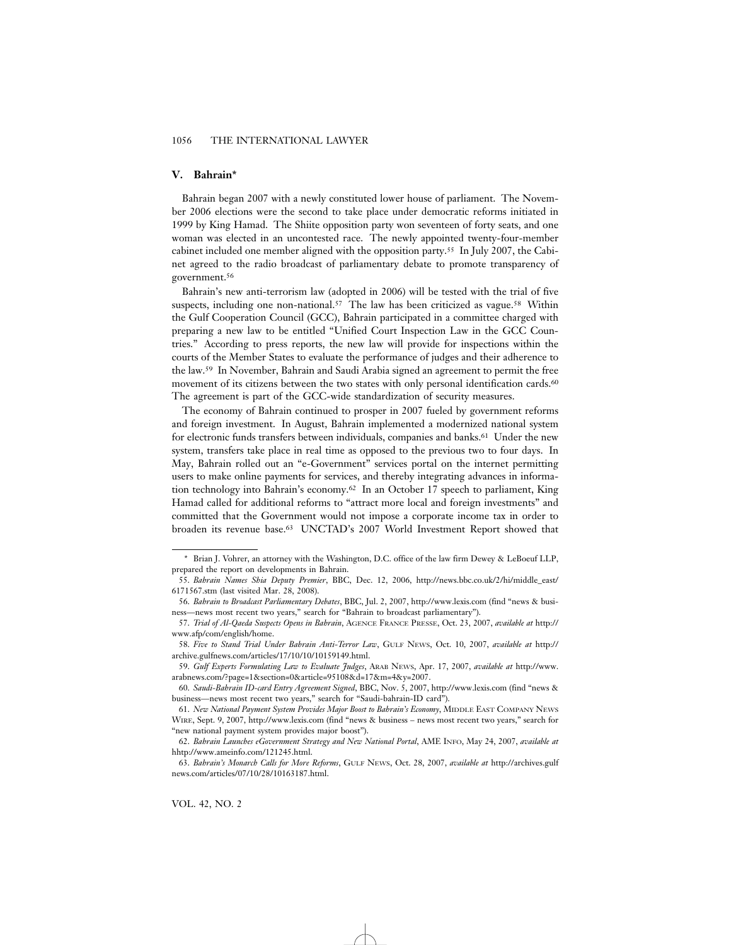# **V. Bahrain\***

Bahrain began 2007 with a newly constituted lower house of parliament. The November 2006 elections were the second to take place under democratic reforms initiated in 1999 by King Hamad. The Shiite opposition party won seventeen of forty seats, and one woman was elected in an uncontested race. The newly appointed twenty-four-member cabinet included one member aligned with the opposition party.55 In July 2007, the Cabinet agreed to the radio broadcast of parliamentary debate to promote transparency of government.56

Bahrain's new anti-terrorism law (adopted in 2006) will be tested with the trial of five suspects, including one non-national.<sup>57</sup> The law has been criticized as vague.<sup>58</sup> Within the Gulf Cooperation Council (GCC), Bahrain participated in a committee charged with preparing a new law to be entitled "Unified Court Inspection Law in the GCC Countries." According to press reports, the new law will provide for inspections within the courts of the Member States to evaluate the performance of judges and their adherence to the law.59 In November, Bahrain and Saudi Arabia signed an agreement to permit the free movement of its citizens between the two states with only personal identification cards.60 The agreement is part of the GCC-wide standardization of security measures.

The economy of Bahrain continued to prosper in 2007 fueled by government reforms and foreign investment. In August, Bahrain implemented a modernized national system for electronic funds transfers between individuals, companies and banks.<sup>61</sup> Under the new system, transfers take place in real time as opposed to the previous two to four days. In May, Bahrain rolled out an "e-Government" services portal on the internet permitting users to make online payments for services, and thereby integrating advances in information technology into Bahrain's economy.62 In an October 17 speech to parliament, King Hamad called for additional reforms to "attract more local and foreign investments" and committed that the Government would not impose a corporate income tax in order to broaden its revenue base.63 UNCTAD's 2007 World Investment Report showed that

<sup>\*</sup> Brian J. Vohrer, an attorney with the Washington, D.C. office of the law firm Dewey & LeBoeuf LLP, prepared the report on developments in Bahrain.

<sup>55.</sup> *Bahrain Names Shia Deputy Premier*, BBC, Dec. 12, 2006, http://news.bbc.co.uk/2/hi/middle\_east/ 6171567.stm (last visited Mar. 28, 2008).

<sup>56.</sup> *Bahrain to Broadcast Parliamentary Debates*, BBC, Jul. 2, 2007, http://www.lexis.com (find "news & business—news most recent two years," search for "Bahrain to broadcast parliamentary").

<sup>57.</sup> *Trial of Al-Qaeda Suspects Opens in Bahrain*, AGENCE FRANCE PRESSE, Oct. 23, 2007, *available at* http:// www.afp/com/english/home.

<sup>58.</sup> *Five to Stand Trial Under Bahrain Anti-Terror Law*, GULF NEWS, Oct. 10, 2007, *available at* http:// archive.gulfnews.com/articles/17/10/10/10159149.html.

<sup>59.</sup> *Gulf Experts Formulating Law to Evaluate Judges*, ARAB NEWS, Apr. 17, 2007, *available at* http://www. arabnews.com/?page=1&section=0&article=95108&d=17&m=4&y=2007.

<sup>60.</sup> *Saudi-Bahrain ID-card Entry Agreement Signed*, BBC, Nov. 5, 2007, http://www.lexis.com (find "news & business—news most recent two years," search for "Saudi-bahrain-ID card").

<sup>61.</sup> *New National Payment System Provides Major Boost to Bahrain's Economy*, MIDDLE EAST COMPANY NEWS WIRE, Sept. 9, 2007, http://www.lexis.com (find "news & business – news most recent two years," search for "new national payment system provides major boost").

<sup>62.</sup> *Bahrain Launches eGovernment Strategy and New National Portal*, AME INFO, May 24, 2007, *available at* hhtp://www.ameinfo.com/121245.html.

<sup>63.</sup> *Bahrain's Monarch Calls for More Reforms*, GULF NEWS, Oct. 28, 2007, *available at* http://archives.gulf news.com/articles/07/10/28/10163187.html.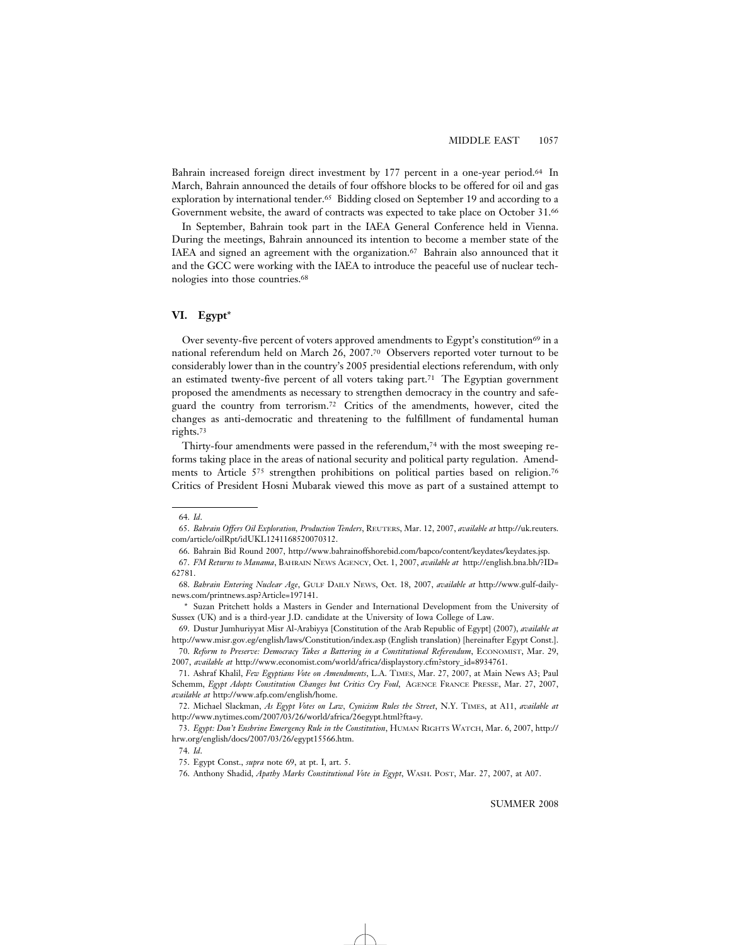Bahrain increased foreign direct investment by 177 percent in a one-year period.64 In March, Bahrain announced the details of four offshore blocks to be offered for oil and gas exploration by international tender.65 Bidding closed on September 19 and according to a Government website, the award of contracts was expected to take place on October 31.66

In September, Bahrain took part in the IAEA General Conference held in Vienna. During the meetings, Bahrain announced its intention to become a member state of the IAEA and signed an agreement with the organization.67 Bahrain also announced that it and the GCC were working with the IAEA to introduce the peaceful use of nuclear technologies into those countries.68

# **VI. Egypt**\*

Over seventy-five percent of voters approved amendments to Egypt's constitution<sup>69</sup> in a national referendum held on March 26, 2007.70 Observers reported voter turnout to be considerably lower than in the country's 2005 presidential elections referendum, with only an estimated twenty-five percent of all voters taking part.<sup>71</sup> The Egyptian government proposed the amendments as necessary to strengthen democracy in the country and safeguard the country from terrorism.72 Critics of the amendments, however, cited the changes as anti-democratic and threatening to the fulfillment of fundamental human rights.73

Thirty-four amendments were passed in the referendum,74 with the most sweeping reforms taking place in the areas of national security and political party regulation. Amendments to Article 575 strengthen prohibitions on political parties based on religion.76 Critics of President Hosni Mubarak viewed this move as part of a sustained attempt to

<sup>64.</sup> *Id*.

<sup>65.</sup> *Bahrain Offers Oil Exploration, Production Tenders*, REUTERS, Mar. 12, 2007, *available at* http://uk.reuters. com/article/oilRpt/idUKL1241168520070312.

<sup>66.</sup> Bahrain Bid Round 2007, http://www.bahrainoffshorebid.com/bapco/content/keydates/keydates.jsp.

<sup>67.</sup> *FM Returns to Manama*, BAHRAIN NEWS AGENCY, Oct. 1, 2007, *available at* http://english.bna.bh/?ID= 62781.

<sup>68.</sup> *Bahrain Entering Nuclear Age*, GULF DAILY NEWS, Oct. 18, 2007, *available at* http://www.gulf-dailynews.com/printnews.asp?Article=197141.

<sup>\*</sup> Suzan Pritchett holds a Masters in Gender and International Development from the University of Sussex (UK) and is a third-year J.D. candidate at the University of Iowa College of Law.

<sup>69.</sup> Dustur Jumhuriyyat Misr Al-Arabiyya [Constitution of the Arab Republic of Egypt] (2007), *available at* http://www.misr.gov.eg/english/laws/Constitution/index.asp (English translation) [hereinafter Egypt Const.]. 70. *Reform to Preserve: Democracy Takes a Battering in a Constitutional Referendum*, ECONOMIST, Mar. 29,

<sup>2007,</sup> *available at* http://www.economist.com/world/africa/displaystory.cfm?story\_id=8934761.

<sup>71.</sup> Ashraf Khalil, *Few Egyptians Vote on Amendments*, L.A. TIMES, Mar. 27, 2007, at Main News A3; Paul Schemm, *Egypt Adopts Constitution Changes but Critics Cry Foul*, AGENCE FRANCE PRESSE, Mar. 27, 2007, *available at* http://www.afp.com/english/home.

<sup>72.</sup> Michael Slackman, *As Egypt Votes on Law, Cynicism Rules the Street*, N.Y. TIMES, at A11, *available at* http://www.nytimes.com/2007/03/26/world/africa/26egypt.html?fta=y.

<sup>73.</sup> *Egypt: Don't Enshrine Emergency Rule in the Constitution*, HUMAN RIGHTS WATCH, Mar. 6, 2007, http:// hrw.org/english/docs/2007/03/26/egypt15566.htm.

<sup>74.</sup> *Id*.

<sup>75.</sup> Egypt Const., *supra* note 69, at pt. I, art. 5.

<sup>76.</sup> Anthony Shadid, *Apathy Marks Constitutional Vote in Egypt*, WASH. POST, Mar. 27, 2007, at A07.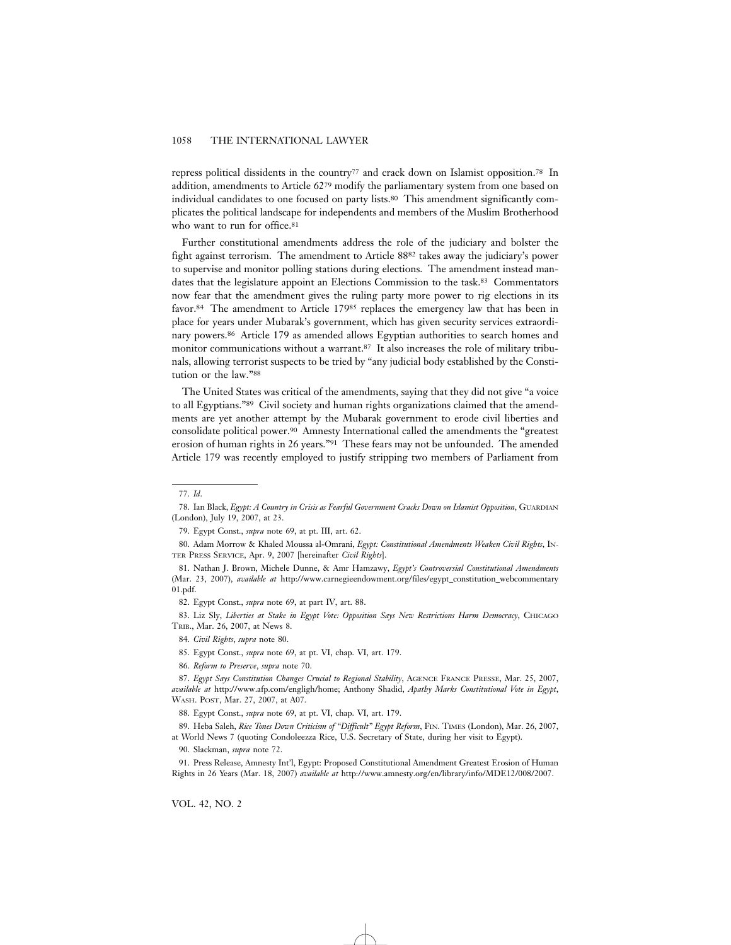repress political dissidents in the country77 and crack down on Islamist opposition.78 In addition, amendments to Article 6279 modify the parliamentary system from one based on individual candidates to one focused on party lists.80 This amendment significantly complicates the political landscape for independents and members of the Muslim Brotherhood who want to run for office.<sup>81</sup>

Further constitutional amendments address the role of the judiciary and bolster the fight against terrorism. The amendment to Article 8882 takes away the judiciary's power to supervise and monitor polling stations during elections. The amendment instead mandates that the legislature appoint an Elections Commission to the task.<sup>83</sup> Commentators now fear that the amendment gives the ruling party more power to rig elections in its favor.84 The amendment to Article 17985 replaces the emergency law that has been in place for years under Mubarak's government, which has given security services extraordinary powers.86 Article 179 as amended allows Egyptian authorities to search homes and monitor communications without a warrant.87 It also increases the role of military tribunals, allowing terrorist suspects to be tried by "any judicial body established by the Constitution or the law."88

The United States was critical of the amendments, saying that they did not give "a voice to all Egyptians."89 Civil society and human rights organizations claimed that the amendments are yet another attempt by the Mubarak government to erode civil liberties and consolidate political power.90 Amnesty International called the amendments the "greatest erosion of human rights in 26 years."91 These fears may not be unfounded. The amended Article 179 was recently employed to justify stripping two members of Parliament from

VOL. 42, NO. 2

<sup>77.</sup> *Id*.

<sup>78.</sup> Ian Black, *Egypt: A Country in Crisis as Fearful Government Cracks Down on Islamist Opposition*, GUARDIAN (London), July 19, 2007, at 23.

<sup>79.</sup> Egypt Const., *supra* note 69, at pt. III, art. 62.

<sup>80.</sup> Adam Morrow & Khaled Moussa al-Omrani, *Egypt: Constitutional Amendments Weaken Civil Rights*, IN-TER PRESS SERVICE, Apr. 9, 2007 [hereinafter *Civil Rights*].

<sup>81.</sup> Nathan J. Brown, Michele Dunne, & Amr Hamzawy, *Egypt's Controversial Constitutional Amendments* (Mar. 23, 2007), *available at* http://www.carnegieendowment.org/files/egypt\_constitution\_webcommentary 01.pdf.

<sup>82.</sup> Egypt Const., *supra* note 69, at part IV, art. 88.

<sup>83.</sup> Liz Sly, *Liberties at Stake in Egypt Vote: Opposition Says New Restrictions Harm Democracy*, CHICAGO TRIB., Mar. 26, 2007, at News 8.

<sup>84.</sup> *Civil Rights*, *supra* note 80.

<sup>85.</sup> Egypt Const., *supra* note 69, at pt. VI, chap. VI, art. 179.

<sup>86.</sup> *Reform to Preserve*, *supra* note 70.

<sup>87.</sup> *Egypt Says Constitution Changes Crucial to Regional Stability*, AGENCE FRANCE PRESSE, Mar. 25, 2007, *available at* http://www.afp.com/engligh/home; Anthony Shadid, *Apathy Marks Constitutional Vote in Egypt*, WASH. POST, Mar. 27, 2007, at A07.

<sup>88.</sup> Egypt Const., *supra* note 69, at pt. VI, chap. VI, art. 179.

<sup>89.</sup> Heba Saleh, *Rice Tones Down Criticism of "Difficult" Egypt Reform*, FIN. TIMES (London), Mar. 26, 2007, at World News 7 (quoting Condoleezza Rice, U.S. Secretary of State, during her visit to Egypt).

<sup>90.</sup> Slackman, *supra* note 72.

<sup>91.</sup> Press Release, Amnesty Int'l, Egypt: Proposed Constitutional Amendment Greatest Erosion of Human Rights in 26 Years (Mar. 18, 2007) *available at* http://www.amnesty.org/en/library/info/MDE12/008/2007.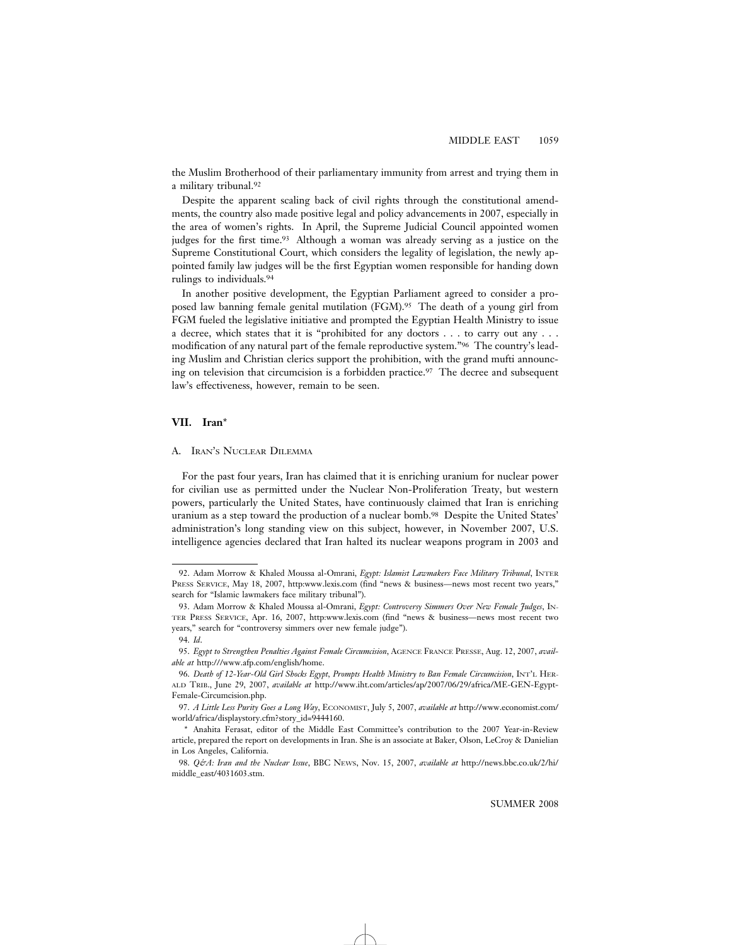the Muslim Brotherhood of their parliamentary immunity from arrest and trying them in a military tribunal.92

Despite the apparent scaling back of civil rights through the constitutional amendments, the country also made positive legal and policy advancements in 2007, especially in the area of women's rights. In April, the Supreme Judicial Council appointed women judges for the first time.<sup>93</sup> Although a woman was already serving as a justice on the Supreme Constitutional Court, which considers the legality of legislation, the newly appointed family law judges will be the first Egyptian women responsible for handing down rulings to individuals.94

In another positive development, the Egyptian Parliament agreed to consider a proposed law banning female genital mutilation (FGM).95 The death of a young girl from FGM fueled the legislative initiative and prompted the Egyptian Health Ministry to issue a decree, which states that it is "prohibited for any doctors . . . to carry out any . . . modification of any natural part of the female reproductive system."96 The country's leading Muslim and Christian clerics support the prohibition, with the grand mufti announcing on television that circumcision is a forbidden practice.97 The decree and subsequent law's effectiveness, however, remain to be seen.

# **VII. Iran**\*

# A. IRAN'S NUCLEAR DILEMMA

For the past four years, Iran has claimed that it is enriching uranium for nuclear power for civilian use as permitted under the Nuclear Non-Proliferation Treaty, but western powers, particularly the United States, have continuously claimed that Iran is enriching uranium as a step toward the production of a nuclear bomb.98 Despite the United States' administration's long standing view on this subject, however, in November 2007, U.S. intelligence agencies declared that Iran halted its nuclear weapons program in 2003 and

<sup>92.</sup> Adam Morrow & Khaled Moussa al-Omrani, *Egypt: Islamist Lawmakers Face Military Tribunal*, INTER PRESS SERVICE, May 18, 2007, http:www.lexis.com (find "news & business—news most recent two years," search for "Islamic lawmakers face military tribunal").

<sup>93.</sup> Adam Morrow & Khaled Moussa al-Omrani, *Egypt: Controversy Simmers Over New Female Judges*, IN-TER PRESS SERVICE, Apr. 16, 2007, http:www.lexis.com (find "news & business—news most recent two years," search for "controversy simmers over new female judge").

<sup>94.</sup> *Id*.

<sup>95.</sup> *Egypt to Strengthen Penalties Against Female Circumcision*, AGENCE FRANCE PRESSE, Aug. 12, 2007, *available at* http:///www.afp.com/english/home.

<sup>96.</sup> *Death of 12-Year-Old Girl Shocks Egypt, Prompts Health Ministry to Ban Female Circumcision*, INT'L HER-ALD TRIB., June 29, 2007, *available at* http://www.iht.com/articles/ap/2007/06/29/africa/ME-GEN-Egypt-Female-Circumcision.php.

<sup>97.</sup> *A Little Less Purity Goes a Long Way*, ECONOMIST, July 5, 2007, *available at* http://www.economist.com/ world/africa/displaystory.cfm?story\_id=9444160.

<sup>\*</sup> Anahita Ferasat, editor of the Middle East Committee's contribution to the 2007 Year-in-Review article, prepared the report on developments in Iran. She is an associate at Baker, Olson, LeCroy & Danielian in Los Angeles, California.

<sup>98.</sup> *Q&A: Iran and the Nuclear Issue*, BBC NEWS, Nov. 15, 2007, *available at* http://news.bbc.co.uk/2/hi/ middle\_east/4031603.stm.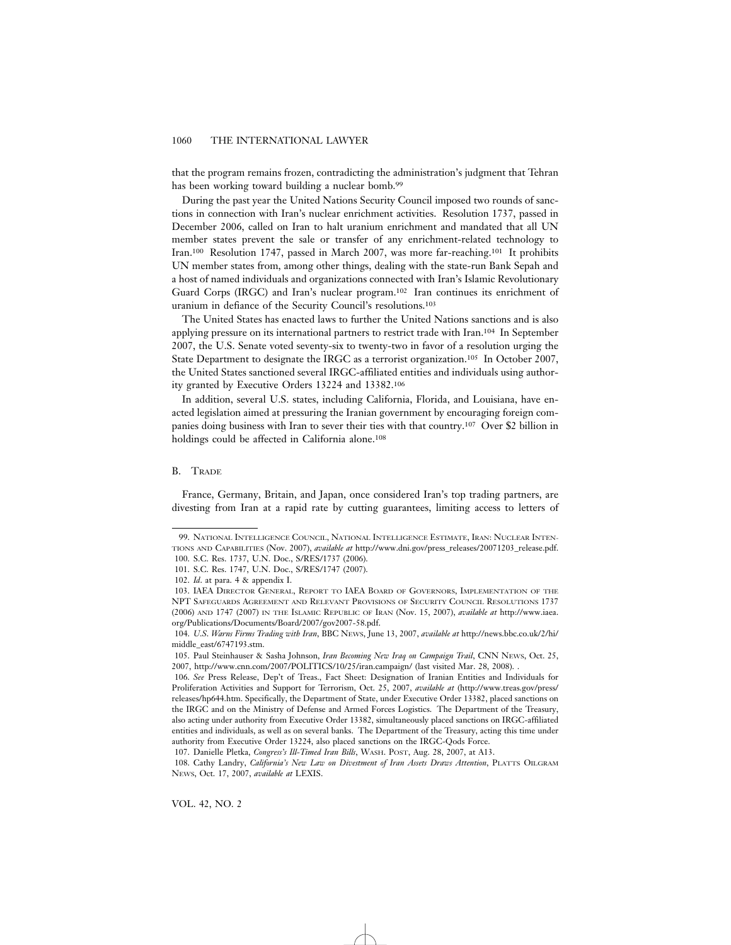that the program remains frozen, contradicting the administration's judgment that Tehran has been working toward building a nuclear bomb.<sup>99</sup>

During the past year the United Nations Security Council imposed two rounds of sanctions in connection with Iran's nuclear enrichment activities. Resolution 1737, passed in December 2006, called on Iran to halt uranium enrichment and mandated that all UN member states prevent the sale or transfer of any enrichment-related technology to Iran.100 Resolution 1747, passed in March 2007, was more far-reaching.101 It prohibits UN member states from, among other things, dealing with the state-run Bank Sepah and a host of named individuals and organizations connected with Iran's Islamic Revolutionary Guard Corps (IRGC) and Iran's nuclear program.102 Iran continues its enrichment of uranium in defiance of the Security Council's resolutions.103

The United States has enacted laws to further the United Nations sanctions and is also applying pressure on its international partners to restrict trade with Iran.104 In September 2007, the U.S. Senate voted seventy-six to twenty-two in favor of a resolution urging the State Department to designate the IRGC as a terrorist organization.105 In October 2007, the United States sanctioned several IRGC-affiliated entities and individuals using authority granted by Executive Orders 13224 and 13382.106

In addition, several U.S. states, including California, Florida, and Louisiana, have enacted legislation aimed at pressuring the Iranian government by encouraging foreign companies doing business with Iran to sever their ties with that country.107 Over \$2 billion in holdings could be affected in California alone.<sup>108</sup>

# B. TRADE

France, Germany, Britain, and Japan, once considered Iran's top trading partners, are divesting from Iran at a rapid rate by cutting guarantees, limiting access to letters of

<sup>99.</sup> NATIONAL INTELLIGENCE COUNCIL, NATIONAL INTELLIGENCE ESTIMATE, IRAN: NUCLEAR INTEN-TIONS AND CAPABILITIES (Nov. 2007), *available at* http://www.dni.gov/press\_releases/20071203\_release.pdf. 100. S.C. Res. 1737, U.N. Doc., S/RES/1737 (2006).

<sup>101.</sup> S.C. Res. 1747, U.N. Doc., S/RES/1747 (2007).

<sup>102.</sup> *Id*. at para. 4 & appendix I.

<sup>103.</sup> IAEA DIRECTOR GENERAL, REPORT TO IAEA BOARD OF GOVERNORS, IMPLEMENTATION OF THE NPT SAFEGUARDS AGREEMENT AND RELEVANT PROVISIONS OF SECURITY COUNCIL RESOLUTIONS 1737 (2006) AND 1747 (2007) IN THE ISLAMIC REPUBLIC OF IRAN (Nov. 15, 2007), *available at* http://www.iaea. org/Publications/Documents/Board/2007/gov2007-58.pdf.

<sup>104.</sup> *U*.*S*. *Warns Firms Trading with Iran*, BBC NEWS, June 13, 2007, *available at* http://news.bbc.co.uk/2/hi/ middle\_east/6747193.stm.

<sup>105.</sup> Paul Steinhauser & Sasha Johnson, *Iran Becoming New Iraq on Campaign Trail*, CNN NEWS, Oct. 25, 2007, http://www.cnn.com/2007/POLITICS/10/25/iran.campaign/ (last visited Mar. 28, 2008). .

<sup>106.</sup> *See* Press Release, Dep't of Treas., Fact Sheet: Designation of Iranian Entities and Individuals for Proliferation Activities and Support for Terrorism, Oct. 25, 2007, *available at* (http://www.treas.gov/press/ releases/hp644.htm. Specifically, the Department of State, under Executive Order 13382, placed sanctions on the IRGC and on the Ministry of Defense and Armed Forces Logistics. The Department of the Treasury, also acting under authority from Executive Order 13382, simultaneously placed sanctions on IRGC-affiliated entities and individuals, as well as on several banks. The Department of the Treasury, acting this time under authority from Executive Order 13224, also placed sanctions on the IRGC-Qods Force.

<sup>107.</sup> Danielle Pletka, *Congress's Ill-Timed Iran Bills*, WASH. POST, Aug. 28, 2007, at A13.

<sup>108.</sup> Cathy Landry, *California's New Law on Divestment of Iran Assets Draws Attention*, PLATTS OILGRAM NEWS, Oct. 17, 2007, *available at* LEXIS.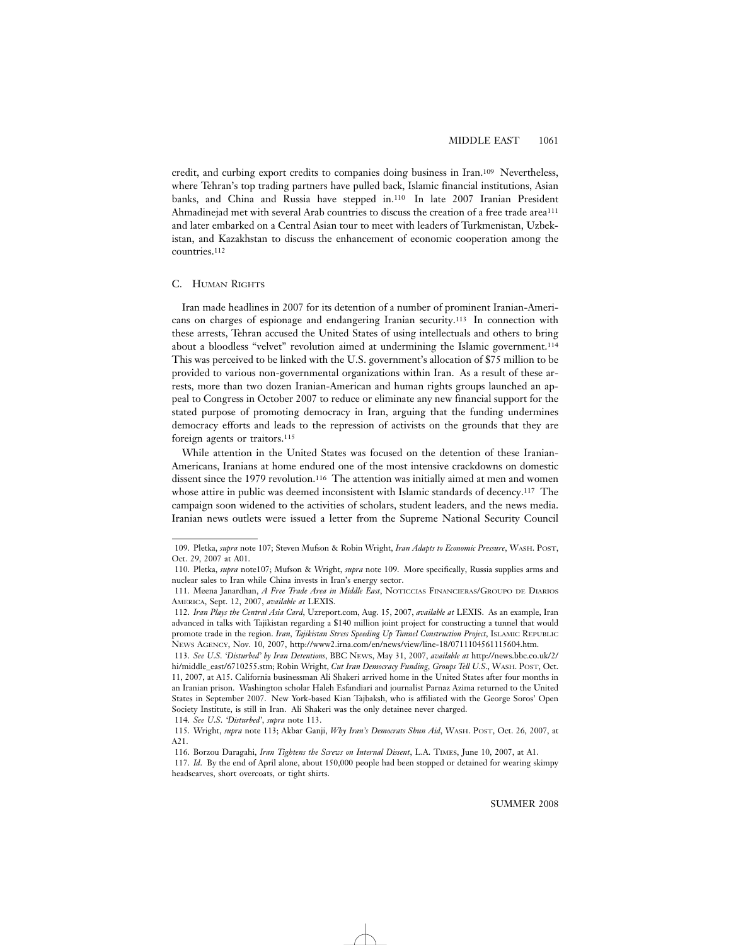credit, and curbing export credits to companies doing business in Iran.109 Nevertheless, where Tehran's top trading partners have pulled back, Islamic financial institutions, Asian banks, and China and Russia have stepped in.110 In late 2007 Iranian President Ahmadinejad met with several Arab countries to discuss the creation of a free trade area111 and later embarked on a Central Asian tour to meet with leaders of Turkmenistan, Uzbekistan, and Kazakhstan to discuss the enhancement of economic cooperation among the countries.112

### C. HUMAN RIGHTS

Iran made headlines in 2007 for its detention of a number of prominent Iranian-Americans on charges of espionage and endangering Iranian security.113 In connection with these arrests, Tehran accused the United States of using intellectuals and others to bring about a bloodless "velvet" revolution aimed at undermining the Islamic government.114 This was perceived to be linked with the U.S. government's allocation of \$75 million to be provided to various non-governmental organizations within Iran. As a result of these arrests, more than two dozen Iranian-American and human rights groups launched an appeal to Congress in October 2007 to reduce or eliminate any new financial support for the stated purpose of promoting democracy in Iran, arguing that the funding undermines democracy efforts and leads to the repression of activists on the grounds that they are foreign agents or traitors.115

While attention in the United States was focused on the detention of these Iranian-Americans, Iranians at home endured one of the most intensive crackdowns on domestic dissent since the 1979 revolution.<sup>116</sup> The attention was initially aimed at men and women whose attire in public was deemed inconsistent with Islamic standards of decency.<sup>117</sup> The campaign soon widened to the activities of scholars, student leaders, and the news media. Iranian news outlets were issued a letter from the Supreme National Security Council

<sup>109.</sup> Pletka, *supra* note 107; Steven Mufson & Robin Wright, *Iran Adapts to Economic Pressure*, WASH. POST, Oct. 29, 2007 at A01.

<sup>110.</sup> Pletka, *supra* note107; Mufson & Wright, *supra* note 109. More specifically, Russia supplies arms and nuclear sales to Iran while China invests in Iran's energy sector.

<sup>111.</sup> Meena Janardhan, *A Free Trade Area in Middle East*, NOTICCIAS FINANCIERAS/GROUPO DE DIARIOS AMERICA, Sept. 12, 2007, *available at* LEXIS.

<sup>112.</sup> *Iran Plays the Central Asia Card*, Uzreport.com, Aug. 15, 2007, *available at* LEXIS. As an example, Iran advanced in talks with Tajikistan regarding a \$140 million joint project for constructing a tunnel that would promote trade in the region. *Iran, Tajikistan Stress Speeding Up Tunnel Construction Project*, ISLAMIC REPUBLIC NEWS AGENCY, Nov. 10, 2007, http://www2.irna.com/en/news/view/line-18/0711104561115604.htm.

<sup>113.</sup> *See U*.*S*. *'Disturbed' by Iran Detentions*, BBC NEWS, May 31, 2007, *available at* http://news.bbc.co.uk/2/ hi/middle\_east/6710255.stm; Robin Wright, *Cut Iran Democracy Funding, Groups Tell U*.*S*., WASH. POST, Oct. 11, 2007, at A15. California businessman Ali Shakeri arrived home in the United States after four months in an Iranian prison. Washington scholar Haleh Esfandiari and journalist Parnaz Azima returned to the United States in September 2007. New York-based Kian Tajbaksh, who is affiliated with the George Soros' Open Society Institute, is still in Iran. Ali Shakeri was the only detainee never charged.

<sup>114.</sup> *See U*.*S*. *'Disturbed'*, *supra* note 113.

<sup>115.</sup> Wright, *supra* note 113; Akbar Ganji, *Why Iran's Democrats Shun Aid*, WASH. POST, Oct. 26, 2007, at A21.

<sup>116.</sup> Borzou Daragahi, *Iran Tightens the Screws on Internal Dissent*, L.A. TIMES, June 10, 2007, at A1.

<sup>117.</sup> *Id*. By the end of April alone, about 150,000 people had been stopped or detained for wearing skimpy headscarves, short overcoats, or tight shirts.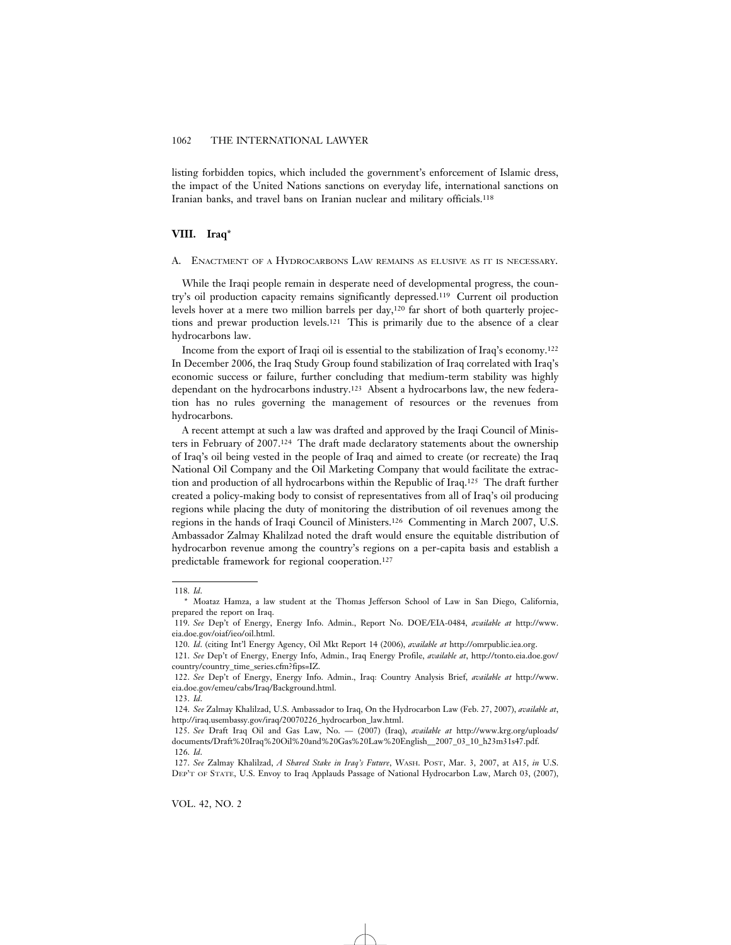listing forbidden topics, which included the government's enforcement of Islamic dress, the impact of the United Nations sanctions on everyday life, international sanctions on Iranian banks, and travel bans on Iranian nuclear and military officials.118

# **VIII. Iraq**\*

A. ENACTMENT OF A HYDROCARBONS LAW REMAINS AS ELUSIVE AS IT IS NECESSARY.

While the Iraqi people remain in desperate need of developmental progress, the country's oil production capacity remains significantly depressed.119 Current oil production levels hover at a mere two million barrels per day,120 far short of both quarterly projections and prewar production levels.121 This is primarily due to the absence of a clear hydrocarbons law.

Income from the export of Iraqi oil is essential to the stabilization of Iraq's economy.122 In December 2006, the Iraq Study Group found stabilization of Iraq correlated with Iraq's economic success or failure, further concluding that medium-term stability was highly dependant on the hydrocarbons industry.123 Absent a hydrocarbons law, the new federation has no rules governing the management of resources or the revenues from hydrocarbons.

A recent attempt at such a law was drafted and approved by the Iraqi Council of Ministers in February of 2007.124 The draft made declaratory statements about the ownership of Iraq's oil being vested in the people of Iraq and aimed to create (or recreate) the Iraq National Oil Company and the Oil Marketing Company that would facilitate the extraction and production of all hydrocarbons within the Republic of Iraq.125 The draft further created a policy-making body to consist of representatives from all of Iraq's oil producing regions while placing the duty of monitoring the distribution of oil revenues among the regions in the hands of Iraqi Council of Ministers.126 Commenting in March 2007, U.S. Ambassador Zalmay Khalilzad noted the draft would ensure the equitable distribution of hydrocarbon revenue among the country's regions on a per-capita basis and establish a predictable framework for regional cooperation.127

<sup>118.</sup> *Id*.

<sup>\*</sup> Moataz Hamza, a law student at the Thomas Jefferson School of Law in San Diego, California, prepared the report on Iraq.

<sup>119.</sup> *See* Dep't of Energy, Energy Info. Admin., Report No. DOE/EIA-0484, *available at* http://www. eia.doe.gov/oiaf/ieo/oil.html.

<sup>120.</sup> *Id*. (citing Int'l Energy Agency, Oil Mkt Report 14 (2006), *available at* http://omrpublic.iea.org.

<sup>121.</sup> *See* Dep't of Energy, Energy Info, Admin., Iraq Energy Profile, *available at*, http://tonto.eia.doe.gov/ country/country\_time\_series.cfm?fips=IZ.

<sup>122.</sup> *See* Dep't of Energy, Energy Info. Admin., Iraq: Country Analysis Brief, *available at* http://www. eia.doe.gov/emeu/cabs/Iraq/Background.html.

<sup>123.</sup> *Id*.

<sup>124.</sup> *See* Zalmay Khalilzad, U.S. Ambassador to Iraq, On the Hydrocarbon Law (Feb. 27, 2007), *available at*, http://iraq.usembassy.gov/iraq/20070226\_hydrocarbon\_law.html.

<sup>125.</sup> *See* Draft Iraq Oil and Gas Law, No. — (2007) (Iraq), *available at* http://www.krg.org/uploads/ documents/Draft%20Iraq%20Oil%20and%20Gas%20Law%20English\_\_2007\_03\_10\_h23m31s47.pdf. 126. *Id*.

<sup>127.</sup> *See* Zalmay Khalilzad, *A Shared Stake in Iraq's Future*, WASH. POST, Mar. 3, 2007, at A15, *in* U.S. DEP'T OF STATE, U.S. Envoy to Iraq Applauds Passage of National Hydrocarbon Law, March 03, (2007),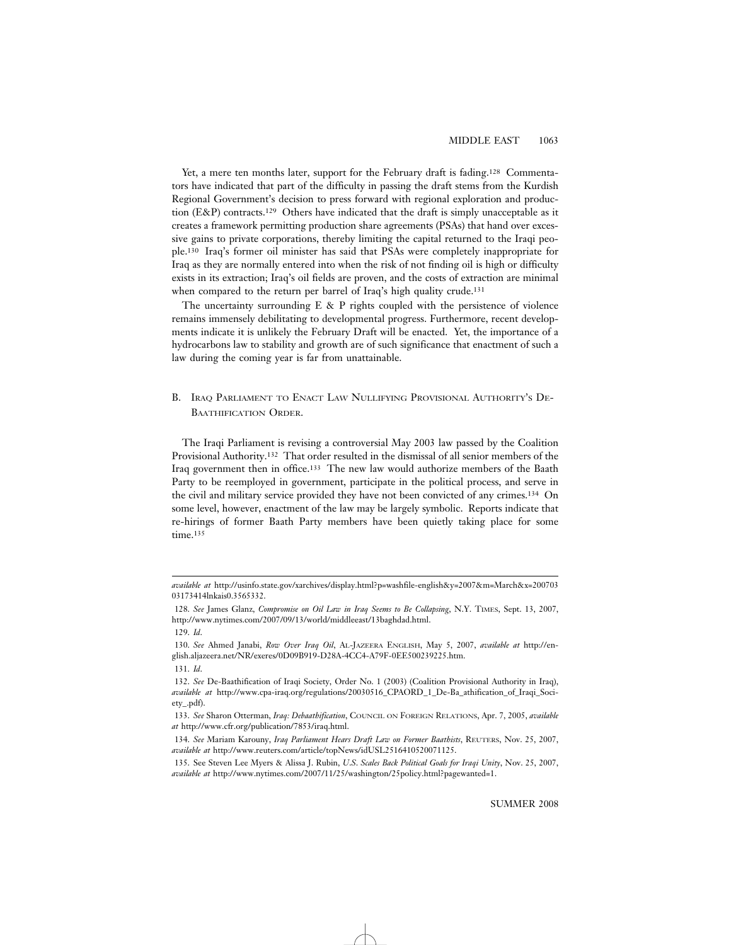Yet, a mere ten months later, support for the February draft is fading.<sup>128</sup> Commentators have indicated that part of the difficulty in passing the draft stems from the Kurdish Regional Government's decision to press forward with regional exploration and production (E&P) contracts.129 Others have indicated that the draft is simply unacceptable as it creates a framework permitting production share agreements (PSAs) that hand over excessive gains to private corporations, thereby limiting the capital returned to the Iraqi people.130 Iraq's former oil minister has said that PSAs were completely inappropriate for Iraq as they are normally entered into when the risk of not finding oil is high or difficulty exists in its extraction; Iraq's oil fields are proven, and the costs of extraction are minimal when compared to the return per barrel of Iraq's high quality crude.<sup>131</sup>

The uncertainty surrounding  $E \& P$  rights coupled with the persistence of violence remains immensely debilitating to developmental progress. Furthermore, recent developments indicate it is unlikely the February Draft will be enacted. Yet, the importance of a hydrocarbons law to stability and growth are of such significance that enactment of such a law during the coming year is far from unattainable.

# B. IRAQ PARLIAMENT TO ENACT LAW NULLIFYING PROVISIONAL AUTHORITY'S DE-BAATHIFICATION ORDER.

The Iraqi Parliament is revising a controversial May 2003 law passed by the Coalition Provisional Authority.132 That order resulted in the dismissal of all senior members of the Iraq government then in office.133 The new law would authorize members of the Baath Party to be reemployed in government, participate in the political process, and serve in the civil and military service provided they have not been convicted of any crimes.134 On some level, however, enactment of the law may be largely symbolic. Reports indicate that re-hirings of former Baath Party members have been quietly taking place for some time.<sup>135</sup>

*available at* http://usinfo.state.gov/xarchives/display.html?p=washfile-english&y=2007&m=March&x=200703 03173414lnkais0.3565332.

<sup>128.</sup> *See* James Glanz, *Compromise on Oil Law in Iraq Seems to Be Collapsing*, N.Y. TIMES, Sept. 13, 2007, http://www.nytimes.com/2007/09/13/world/middleeast/13baghdad.html.

<sup>129.</sup> *Id*.

<sup>130.</sup> *See* Ahmed Janabi, *Row Over Iraq Oil*, AL-JAZEERA ENGLISH, May 5, 2007, *available at* http://english.aljazeera.net/NR/exeres/0D09B919-D28A-4CC4-A79F-0EE500239225.htm.

<sup>131.</sup> *Id*.

<sup>132.</sup> *See* De-Baathification of Iraqi Society, Order No. 1 (2003) (Coalition Provisional Authority in Iraq), *available at* http://www.cpa-iraq.org/regulations/20030516\_CPAORD\_1\_De-Ba\_athification\_of\_Iraqi\_Society\_.pdf).

<sup>133.</sup> *See* Sharon Otterman, *Iraq: Debaathification*, COUNCIL ON FOREIGN RELATIONS, Apr. 7, 2005, *available at* http://www.cfr.org/publication/7853/iraq.html.

<sup>134.</sup> *See* Mariam Karouny, *Iraq Parliament Hears Draft Law on Former Baathists*, REUTERS, Nov. 25, 2007, *available at* http://www.reuters.com/article/topNews/idUSL2516410520071125.

<sup>135.</sup> See Steven Lee Myers & Alissa J. Rubin, *U*.*S*. *Scales Back Political Goals for Iraqi Unity*, Nov. 25, 2007, *available at* http://www.nytimes.com/2007/11/25/washington/25policy.html?pagewanted=1.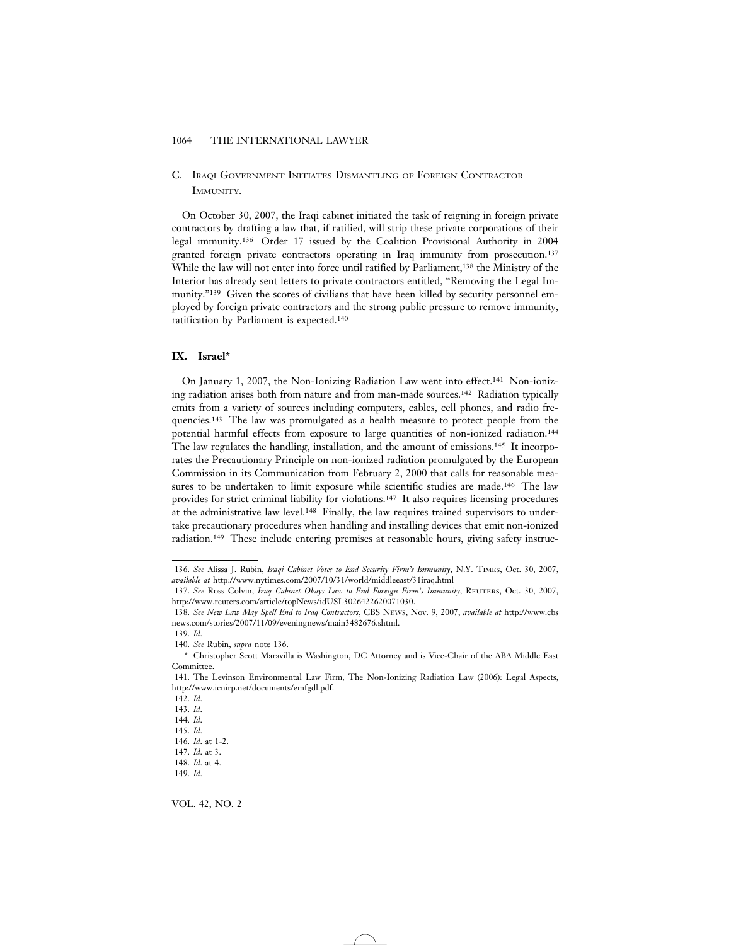# C. IRAQI GOVERNMENT INITIATES DISMANTLING OF FOREIGN CONTRACTOR IMMUNITY.

On October 30, 2007, the Iraqi cabinet initiated the task of reigning in foreign private contractors by drafting a law that, if ratified, will strip these private corporations of their legal immunity.136 Order 17 issued by the Coalition Provisional Authority in 2004 granted foreign private contractors operating in Iraq immunity from prosecution.137 While the law will not enter into force until ratified by Parliament,138 the Ministry of the Interior has already sent letters to private contractors entitled, "Removing the Legal Immunity."139 Given the scores of civilians that have been killed by security personnel employed by foreign private contractors and the strong public pressure to remove immunity, ratification by Parliament is expected.140

# **IX. Israel\***

On January 1, 2007, the Non-Ionizing Radiation Law went into effect.141 Non-ionizing radiation arises both from nature and from man-made sources.142 Radiation typically emits from a variety of sources including computers, cables, cell phones, and radio frequencies.143 The law was promulgated as a health measure to protect people from the potential harmful effects from exposure to large quantities of non-ionized radiation.144 The law regulates the handling, installation, and the amount of emissions.<sup>145</sup> It incorporates the Precautionary Principle on non-ionized radiation promulgated by the European Commission in its Communication from February 2, 2000 that calls for reasonable measures to be undertaken to limit exposure while scientific studies are made.146 The law provides for strict criminal liability for violations.147 It also requires licensing procedures at the administrative law level.148 Finally, the law requires trained supervisors to undertake precautionary procedures when handling and installing devices that emit non-ionized radiation.149 These include entering premises at reasonable hours, giving safety instruc-

143. *Id*.

VOL. 42, NO. 2

<sup>136.</sup> *See* Alissa J. Rubin, *Iraqi Cabinet Votes to End Security Firm's Immunity*, N.Y. TIMES, Oct. 30, 2007, *available at* http://www.nytimes.com/2007/10/31/world/middleeast/31iraq.html

<sup>137.</sup> *See* Ross Colvin, *Iraq Cabinet Okays Law to End Foreign Firm's Immunity*, REUTERS, Oct. 30, 2007, http://www.reuters.com/article/topNews/idUSL3026422620071030.

<sup>138.</sup> *See New Law May Spell End to Iraq Contractors*, CBS NEWS, Nov. 9, 2007, *available at* http://www.cbs news.com/stories/2007/11/09/eveningnews/main3482676.shtml.

<sup>139.</sup> *Id*.

<sup>140.</sup> *See* Rubin, *supra* note 136.

<sup>\*</sup> Christopher Scott Maravilla is Washington, DC Attorney and is Vice-Chair of the ABA Middle East Committee.

<sup>141.</sup> The Levinson Environmental Law Firm, The Non-Ionizing Radiation Law (2006): Legal Aspects, http://www.icnirp.net/documents/emfgdl.pdf.

<sup>142.</sup> *Id*.

<sup>144.</sup> *Id*.

<sup>145.</sup> *Id*.

<sup>146.</sup> *Id*. at 1-2. 147. *Id*. at 3.

<sup>148.</sup> *Id*. at 4.

<sup>149.</sup> *Id*.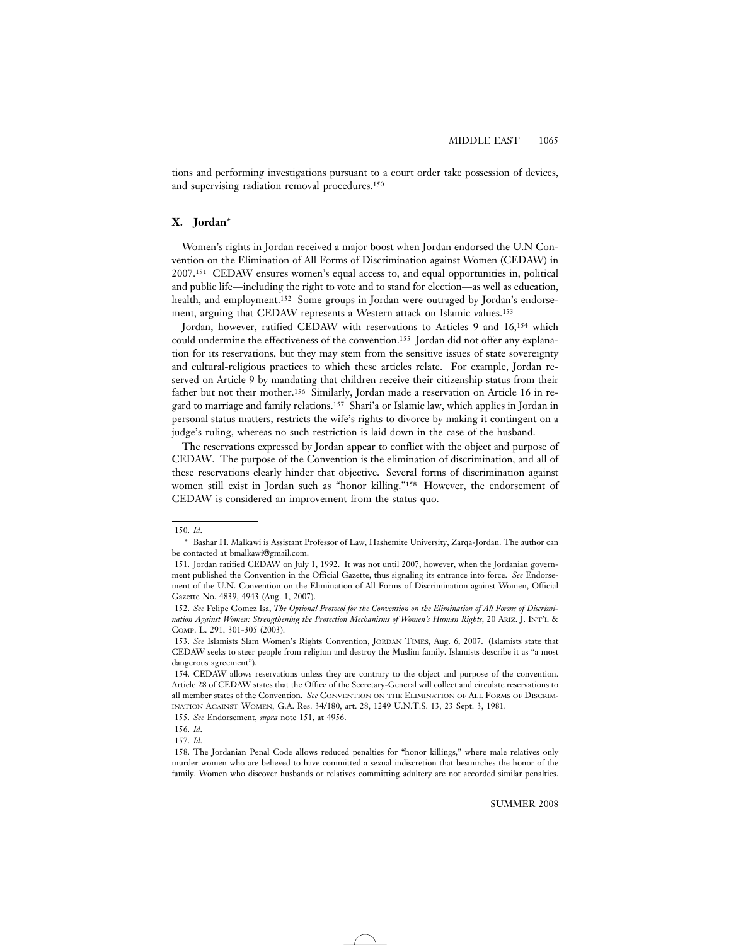tions and performing investigations pursuant to a court order take possession of devices, and supervising radiation removal procedures.150

# **X. Jordan**\*

Women's rights in Jordan received a major boost when Jordan endorsed the U.N Convention on the Elimination of All Forms of Discrimination against Women (CEDAW) in 2007.151 CEDAW ensures women's equal access to, and equal opportunities in, political and public life—including the right to vote and to stand for election—as well as education, health, and employment.152 Some groups in Jordan were outraged by Jordan's endorsement, arguing that CEDAW represents a Western attack on Islamic values.153

Jordan, however, ratified CEDAW with reservations to Articles 9 and 16,154 which could undermine the effectiveness of the convention.155 Jordan did not offer any explanation for its reservations, but they may stem from the sensitive issues of state sovereignty and cultural-religious practices to which these articles relate. For example, Jordan reserved on Article 9 by mandating that children receive their citizenship status from their father but not their mother.<sup>156</sup> Similarly, Jordan made a reservation on Article 16 in regard to marriage and family relations.157 Shari'a or Islamic law, which applies in Jordan in personal status matters, restricts the wife's rights to divorce by making it contingent on a judge's ruling, whereas no such restriction is laid down in the case of the husband.

The reservations expressed by Jordan appear to conflict with the object and purpose of CEDAW. The purpose of the Convention is the elimination of discrimination, and all of these reservations clearly hinder that objective. Several forms of discrimination against women still exist in Jordan such as "honor killing."158 However, the endorsement of CEDAW is considered an improvement from the status quo.

<sup>150.</sup> *Id*.

<sup>\*</sup> Bashar H. Malkawi is Assistant Professor of Law, Hashemite University, Zarqa-Jordan. The author can be contacted at bmalkawi@gmail.com.

<sup>151.</sup> Jordan ratified CEDAW on July 1, 1992. It was not until 2007, however, when the Jordanian government published the Convention in the Official Gazette, thus signaling its entrance into force. *See* Endorsement of the U.N. Convention on the Elimination of All Forms of Discrimination against Women, Official Gazette No. 4839, 4943 (Aug. 1, 2007).

<sup>152.</sup> *See* Felipe Gomez Isa, *The Optional Protocol for the Convention on the Elimination of All Forms of Discrimination Against Women: Strengthening the Protection Mechanisms of Women's Human Rights*, 20 ARIZ. J. INT'L & COMP. L. 291, 301-305 (2003).

<sup>153.</sup> *See* Islamists Slam Women's Rights Convention, JORDAN TIMES, Aug. 6, 2007. (Islamists state that CEDAW seeks to steer people from religion and destroy the Muslim family. Islamists describe it as "a most dangerous agreement").

<sup>154.</sup> CEDAW allows reservations unless they are contrary to the object and purpose of the convention. Article 28 of CEDAW states that the Office of the Secretary-General will collect and circulate reservations to all member states of the Convention. *See* CONVENTION ON THE ELIMINATION OF ALL FORMS OF DISCRIM-INATION AGAINST WOMEN, G.A. Res. 34/180, art. 28, 1249 U.N.T.S. 13, 23 Sept. 3, 1981.

<sup>155.</sup> *See* Endorsement, *supra* note 151, at 4956.

<sup>156.</sup> *Id*.

<sup>157.</sup> *Id*.

<sup>158.</sup> The Jordanian Penal Code allows reduced penalties for "honor killings," where male relatives only murder women who are believed to have committed a sexual indiscretion that besmirches the honor of the family. Women who discover husbands or relatives committing adultery are not accorded similar penalties.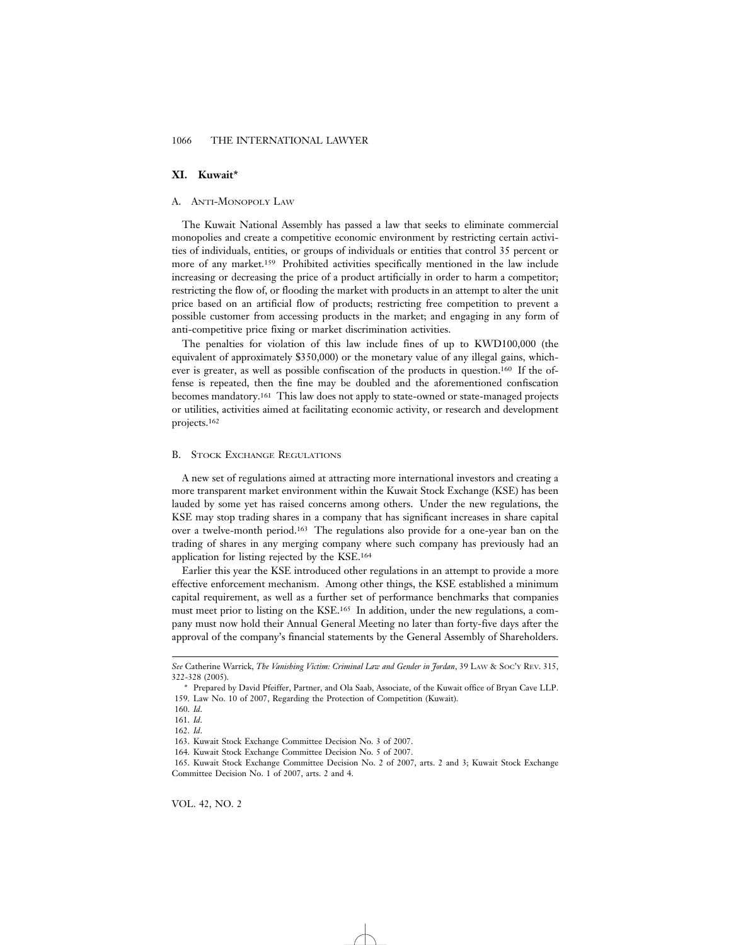### **XI. Kuwait\***

#### A. ANTI-MONOPOLY LAW

The Kuwait National Assembly has passed a law that seeks to eliminate commercial monopolies and create a competitive economic environment by restricting certain activities of individuals, entities, or groups of individuals or entities that control 35 percent or more of any market.159 Prohibited activities specifically mentioned in the law include increasing or decreasing the price of a product artificially in order to harm a competitor; restricting the flow of, or flooding the market with products in an attempt to alter the unit price based on an artificial flow of products; restricting free competition to prevent a possible customer from accessing products in the market; and engaging in any form of anti-competitive price fixing or market discrimination activities.

The penalties for violation of this law include fines of up to KWD100,000 (the equivalent of approximately \$350,000) or the monetary value of any illegal gains, whichever is greater, as well as possible confiscation of the products in question.160 If the offense is repeated, then the fine may be doubled and the aforementioned confiscation becomes mandatory.161 This law does not apply to state-owned or state-managed projects or utilities, activities aimed at facilitating economic activity, or research and development projects.162

#### B. STOCK EXCHANGE REGULATIONS

A new set of regulations aimed at attracting more international investors and creating a more transparent market environment within the Kuwait Stock Exchange (KSE) has been lauded by some yet has raised concerns among others. Under the new regulations, the KSE may stop trading shares in a company that has significant increases in share capital over a twelve-month period.163 The regulations also provide for a one-year ban on the trading of shares in any merging company where such company has previously had an application for listing rejected by the KSE.164

Earlier this year the KSE introduced other regulations in an attempt to provide a more effective enforcement mechanism. Among other things, the KSE established a minimum capital requirement, as well as a further set of performance benchmarks that companies must meet prior to listing on the KSE.165 In addition, under the new regulations, a company must now hold their Annual General Meeting no later than forty-five days after the approval of the company's financial statements by the General Assembly of Shareholders.

VOL. 42, NO. 2

*See* Catherine Warrick, *The Vanishing Victim: Criminal Law and Gender in Jordan*, 39 LAW & SOC'Y REV. 315, 322-328 (2005).

<sup>\*</sup> Prepared by David Pfeiffer, Partner, and Ola Saab, Associate, of the Kuwait office of Bryan Cave LLP. 159. Law No. 10 of 2007, Regarding the Protection of Competition (Kuwait).

<sup>160.</sup> *Id*.

<sup>161.</sup> *Id*.

<sup>162.</sup> *Id*.

<sup>163.</sup> Kuwait Stock Exchange Committee Decision No. 3 of 2007.

<sup>164.</sup> Kuwait Stock Exchange Committee Decision No. 5 of 2007.

<sup>165.</sup> Kuwait Stock Exchange Committee Decision No. 2 of 2007, arts. 2 and 3; Kuwait Stock Exchange Committee Decision No. 1 of 2007, arts. 2 and 4.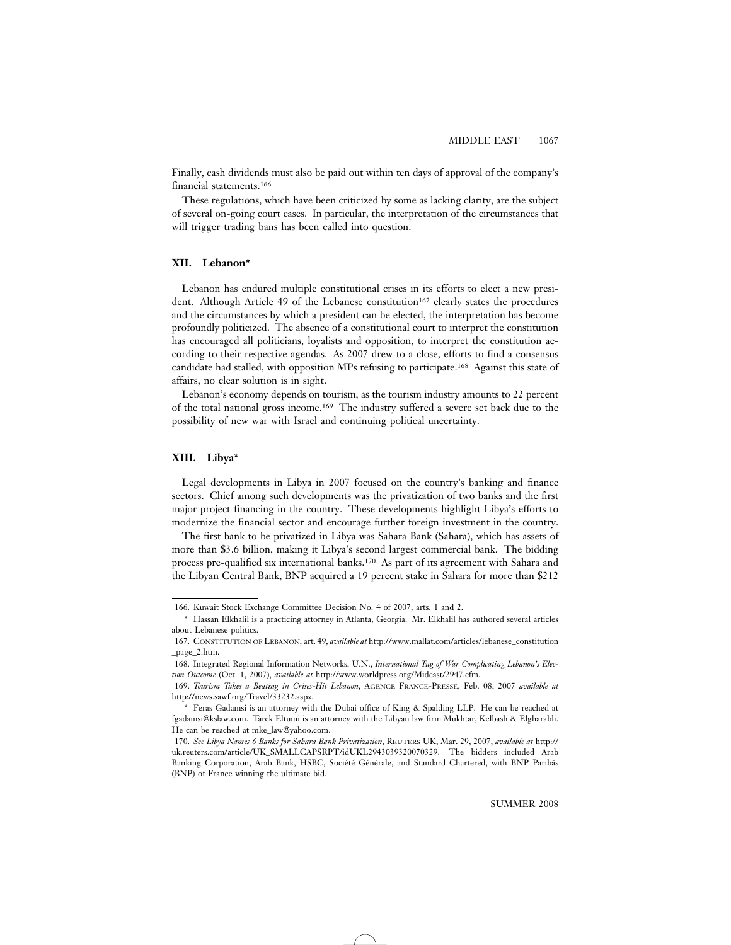Finally, cash dividends must also be paid out within ten days of approval of the company's financial statements.166

These regulations, which have been criticized by some as lacking clarity, are the subject of several on-going court cases. In particular, the interpretation of the circumstances that will trigger trading bans has been called into question.

# **XII. Lebanon\***

Lebanon has endured multiple constitutional crises in its efforts to elect a new president. Although Article 49 of the Lebanese constitution<sup>167</sup> clearly states the procedures and the circumstances by which a president can be elected, the interpretation has become profoundly politicized. The absence of a constitutional court to interpret the constitution has encouraged all politicians, loyalists and opposition, to interpret the constitution according to their respective agendas. As 2007 drew to a close, efforts to find a consensus candidate had stalled, with opposition MPs refusing to participate.168 Against this state of affairs, no clear solution is in sight.

Lebanon's economy depends on tourism, as the tourism industry amounts to 22 percent of the total national gross income.169 The industry suffered a severe set back due to the possibility of new war with Israel and continuing political uncertainty.

# **XIII. Libya\***

Legal developments in Libya in 2007 focused on the country's banking and finance sectors. Chief among such developments was the privatization of two banks and the first major project financing in the country. These developments highlight Libya's efforts to modernize the financial sector and encourage further foreign investment in the country.

The first bank to be privatized in Libya was Sahara Bank (Sahara), which has assets of more than \$3.6 billion, making it Libya's second largest commercial bank. The bidding process pre-qualified six international banks.170 As part of its agreement with Sahara and the Libyan Central Bank, BNP acquired a 19 percent stake in Sahara for more than \$212

<sup>166.</sup> Kuwait Stock Exchange Committee Decision No. 4 of 2007, arts. 1 and 2.

<sup>\*</sup> Hassan Elkhalil is a practicing attorney in Atlanta, Georgia. Mr. Elkhalil has authored several articles about Lebanese politics.

<sup>167.</sup> CONSTITUTION OF LEBANON, art. 49, *available at* http://www.mallat.com/articles/lebanese\_constitution \_page\_2.htm.

<sup>168.</sup> Integrated Regional Information Networks, U.N., *International Tug of War Complicating Lebanon's Election Outcome* (Oct. 1, 2007), *available at* http://www.worldpress.org/Mideast/2947.cfm.

<sup>169.</sup> *Tourism Takes a Beating in Crises-Hit Lebanon*, AGENCE FRANCE-PRESSE, Feb. 08, 2007 *available at* http://news.sawf.org/Travel/33232.aspx.

<sup>\*</sup> Feras Gadamsi is an attorney with the Dubai office of King & Spalding LLP. He can be reached at fgadamsi@kslaw.com. Tarek Eltumi is an attorney with the Libyan law firm Mukhtar, Kelbash & Elgharabli. He can be reached at mke\_law@yahoo.com.

<sup>170.</sup> *See Libya Names 6 Banks for Sahara Bank Privatization*, REUTERS UK, Mar. 29, 2007, *available at* http:// uk.reuters.com/article/UK\_SMALLCAPSRPT/idUKL2943039320070329. The bidders included Arab Banking Corporation, Arab Bank, HSBC, Société Générale, and Standard Chartered, with BNP Paribãs (BNP) of France winning the ultimate bid.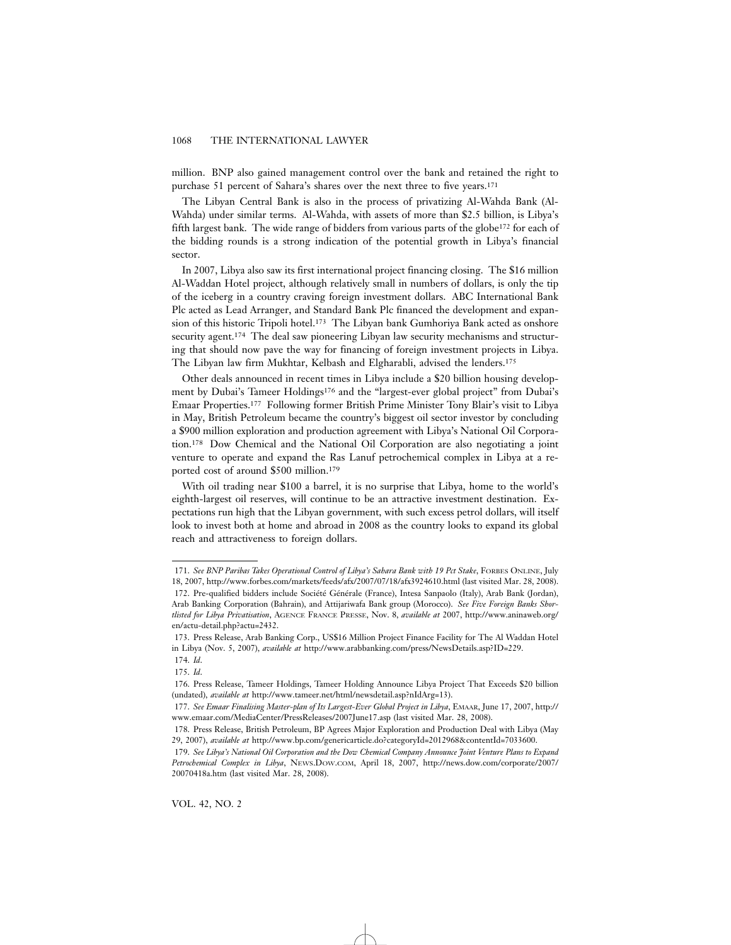million. BNP also gained management control over the bank and retained the right to purchase 51 percent of Sahara's shares over the next three to five years.171

The Libyan Central Bank is also in the process of privatizing Al-Wahda Bank (Al-Wahda) under similar terms. Al-Wahda, with assets of more than \$2.5 billion, is Libya's fifth largest bank. The wide range of bidders from various parts of the globe172 for each of the bidding rounds is a strong indication of the potential growth in Libya's financial sector.

In 2007, Libya also saw its first international project financing closing. The \$16 million Al-Waddan Hotel project, although relatively small in numbers of dollars, is only the tip of the iceberg in a country craving foreign investment dollars. ABC International Bank Plc acted as Lead Arranger, and Standard Bank Plc financed the development and expansion of this historic Tripoli hotel.173 The Libyan bank Gumhoriya Bank acted as onshore security agent.<sup>174</sup> The deal saw pioneering Libyan law security mechanisms and structuring that should now pave the way for financing of foreign investment projects in Libya. The Libyan law firm Mukhtar, Kelbash and Elgharabli, advised the lenders.175

Other deals announced in recent times in Libya include a \$20 billion housing development by Dubai's Tameer Holdings176 and the "largest-ever global project" from Dubai's Emaar Properties.177 Following former British Prime Minister Tony Blair's visit to Libya in May, British Petroleum became the country's biggest oil sector investor by concluding a \$900 million exploration and production agreement with Libya's National Oil Corporation.178 Dow Chemical and the National Oil Corporation are also negotiating a joint venture to operate and expand the Ras Lanuf petrochemical complex in Libya at a reported cost of around \$500 million.179

With oil trading near \$100 a barrel, it is no surprise that Libya, home to the world's eighth-largest oil reserves, will continue to be an attractive investment destination. Expectations run high that the Libyan government, with such excess petrol dollars, will itself look to invest both at home and abroad in 2008 as the country looks to expand its global reach and attractiveness to foreign dollars.

<sup>171.</sup> *See BNP Paribas Takes Operational Control of Libya's Sahara Bank with 19 Pct Stake*, FORBES ONLINE, July 18, 2007, http://www.forbes.com/markets/feeds/afx/2007/07/18/afx3924610.html (last visited Mar. 28, 2008).

<sup>172.</sup> Pre-qualified bidders include Société Générale (France), Intesa Sanpaolo (Italy), Arab Bank (Jordan), Arab Banking Corporation (Bahrain), and Attijariwafa Bank group (Morocco). *See Five Foreign Banks Shortlisted for Libya Privatisation*, AGENCE FRANCE PRESSE, Nov. 8, *available at* 2007, http://www.aninaweb.org/ en/actu-detail.php?actu=2432.

<sup>173.</sup> Press Release, Arab Banking Corp., US\$16 Million Project Finance Facility for The Al Waddan Hotel in Libya (Nov. 5, 2007), *available at* http://www.arabbanking.com/press/NewsDetails.asp?ID=229.

<sup>174.</sup> *Id*. 175. *Id*.

<sup>176.</sup> Press Release, Tameer Holdings, Tameer Holding Announce Libya Project That Exceeds \$20 billion (undated), *available at* http://www.tameer.net/html/newsdetail.asp?nIdArg=13).

<sup>177.</sup> *See Emaar Finalising Master-plan of Its Largest-Ever Global Project in Libya*, EMAAR, June 17, 2007, http:// www.emaar.com/MediaCenter/PressReleases/2007June17.asp (last visited Mar. 28, 2008).

<sup>178.</sup> Press Release, British Petroleum, BP Agrees Major Exploration and Production Deal with Libya (May 29, 2007), *available at* http://www.bp.com/genericarticle.do?categoryId=2012968&contentId=7033600.

<sup>179.</sup> *See Libya's National Oil Corporation and the Dow Chemical Company Announce Joint Venture Plans to Expand Petrochemical Complex in Libya*, NEWS.DOW.COM, April 18, 2007, http://news.dow.com/corporate/2007/ 20070418a.htm (last visited Mar. 28, 2008).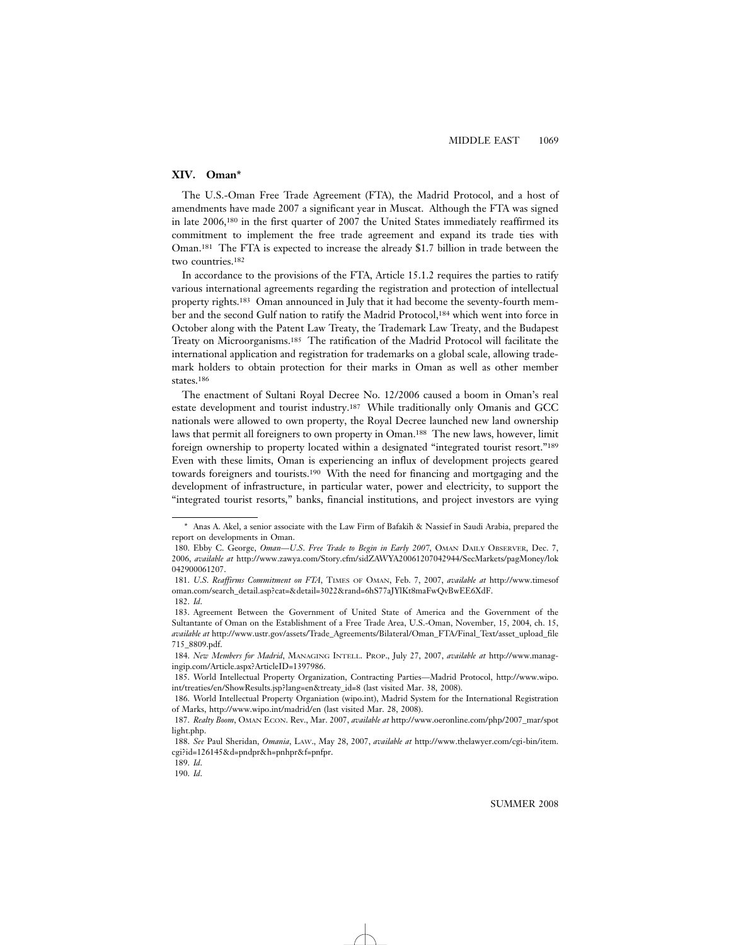# **XIV. Oman\***

The U.S.-Oman Free Trade Agreement (FTA), the Madrid Protocol, and a host of amendments have made 2007 a significant year in Muscat. Although the FTA was signed in late 2006,180 in the first quarter of 2007 the United States immediately reaffirmed its commitment to implement the free trade agreement and expand its trade ties with Oman.181 The FTA is expected to increase the already \$1.7 billion in trade between the two countries.182

In accordance to the provisions of the FTA, Article 15.1.2 requires the parties to ratify various international agreements regarding the registration and protection of intellectual property rights.183 Oman announced in July that it had become the seventy-fourth member and the second Gulf nation to ratify the Madrid Protocol,184 which went into force in October along with the Patent Law Treaty, the Trademark Law Treaty, and the Budapest Treaty on Microorganisms.185 The ratification of the Madrid Protocol will facilitate the international application and registration for trademarks on a global scale, allowing trademark holders to obtain protection for their marks in Oman as well as other member states.186

The enactment of Sultani Royal Decree No. 12/2006 caused a boom in Oman's real estate development and tourist industry.187 While traditionally only Omanis and GCC nationals were allowed to own property, the Royal Decree launched new land ownership laws that permit all foreigners to own property in Oman.188 The new laws, however, limit foreign ownership to property located within a designated "integrated tourist resort."189 Even with these limits, Oman is experiencing an influx of development projects geared towards foreigners and tourists.190 With the need for financing and mortgaging and the development of infrastructure, in particular water, power and electricity, to support the "integrated tourist resorts," banks, financial institutions, and project investors are vying

<sup>\*</sup> Anas A. Akel, a senior associate with the Law Firm of Bafakih & Nassief in Saudi Arabia, prepared the report on developments in Oman.

<sup>180.</sup> Ebby C. George, *Oman—U*.*S*. *Free Trade to Begin in Early 2007*, OMAN DAILY OBSERVER, Dec. 7, 2006, *available at* http://www.zawya.com/Story.cfm/sidZAWYA20061207042944/SecMarkets/pagMoney/lok 042900061207.

<sup>181.</sup> *U*.*S*. *Reaffirms Commitment on FTA*, TIMES OF OMAN, Feb. 7, 2007, *available at* http://www.timesof oman.com/search\_detail.asp?cat=&detail=3022&rand=6hS77aJYlKt8maFwQvBwEE6XdF. 182. *Id*.

<sup>183.</sup> Agreement Between the Government of United State of America and the Government of the Sultantante of Oman on the Establishment of a Free Trade Area, U.S.-Oman, November, 15, 2004, ch. 15, *available at* http://www.ustr.gov/assets/Trade\_Agreements/Bilateral/Oman\_FTA/Final\_Text/asset\_upload\_file 715\_8809.pdf.

<sup>184.</sup> *New Members for Madrid*, MANAGING INTELL. PROP., July 27, 2007, *available at* http://www.managingip.com/Article.aspx?ArticleID=1397986.

<sup>185.</sup> World Intellectual Property Organization, Contracting Parties—Madrid Protocol, http://www.wipo. int/treaties/en/ShowResults.jsp?lang=en&treaty\_id=8 (last visited Mar. 38, 2008).

<sup>186.</sup> World Intellectual Property Organiation (wipo.int), Madrid System for the International Registration of Marks, http://www.wipo.int/madrid/en (last visited Mar. 28, 2008).

<sup>187.</sup> *Realty Boom*, OMAN ECON. Rev., Mar. 2007, *available at* http://www.oeronline.com/php/2007\_mar/spot light.php.

<sup>188.</sup> *See* Paul Sheridan, *Omania*, LAW., May 28, 2007, *available at* http://www.thelawyer.com/cgi-bin/item. cgi?id=126145&d=pndpr&h=pnhpr&f=pnfpr.

<sup>189.</sup> *Id*.

<sup>190.</sup> *Id*.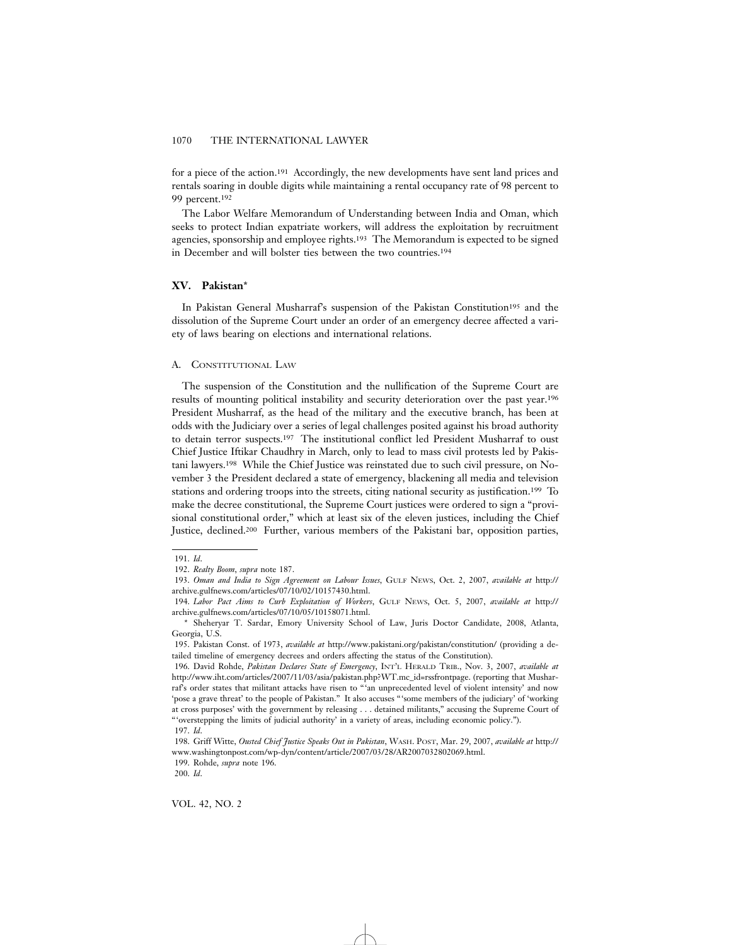for a piece of the action.191 Accordingly, the new developments have sent land prices and rentals soaring in double digits while maintaining a rental occupancy rate of 98 percent to 99 percent.192

The Labor Welfare Memorandum of Understanding between India and Oman, which seeks to protect Indian expatriate workers, will address the exploitation by recruitment agencies, sponsorship and employee rights.193 The Memorandum is expected to be signed in December and will bolster ties between the two countries.194

# **XV. Pakistan**\*

In Pakistan General Musharraf's suspension of the Pakistan Constitution<sup>195</sup> and the dissolution of the Supreme Court under an order of an emergency decree affected a variety of laws bearing on elections and international relations.

### A. CONSTITUTIONAL LAW

The suspension of the Constitution and the nullification of the Supreme Court are results of mounting political instability and security deterioration over the past year.196 President Musharraf, as the head of the military and the executive branch, has been at odds with the Judiciary over a series of legal challenges posited against his broad authority to detain terror suspects.197 The institutional conflict led President Musharraf to oust Chief Justice Iftikar Chaudhry in March, only to lead to mass civil protests led by Pakistani lawyers.198 While the Chief Justice was reinstated due to such civil pressure, on November 3 the President declared a state of emergency, blackening all media and television stations and ordering troops into the streets, citing national security as justification.199 To make the decree constitutional, the Supreme Court justices were ordered to sign a "provisional constitutional order," which at least six of the eleven justices, including the Chief Justice, declined.200 Further, various members of the Pakistani bar, opposition parties,

<sup>191.</sup> *Id*.

<sup>192.</sup> *Realty Boom*, *supra* note 187.

<sup>193.</sup> *Oman and India to Sign Agreement on Labour Issues*, GULF NEWS, Oct. 2, 2007, *available at* http:// archive.gulfnews.com/articles/07/10/02/10157430.html.

<sup>194.</sup> *Labor Pact Aims to Curb Exploitation of Workers*, GULF NEWS, Oct. 5, 2007, *available at* http:// archive.gulfnews.com/articles/07/10/05/10158071.html.

<sup>\*</sup> Sheheryar T. Sardar, Emory University School of Law, Juris Doctor Candidate, 2008, Atlanta, Georgia, U.S.

<sup>195.</sup> Pakistan Const. of 1973, *available at* http://www.pakistani.org/pakistan/constitution/ (providing a detailed timeline of emergency decrees and orders affecting the status of the Constitution).

<sup>196.</sup> David Rohde, *Pakistan Declares State of Emergency*, INT'L HERALD TRIB., Nov. 3, 2007, *available at* http://www.iht.com/articles/2007/11/03/asia/pakistan.php?WT.mc\_id=rssfrontpage. (reporting that Musharraf's order states that militant attacks have risen to "'an unprecedented level of violent intensity' and now 'pose a grave threat' to the people of Pakistan." It also accuses "'some members of the judiciary' of 'working at cross purposes' with the government by releasing . . . detained militants," accusing the Supreme Court of "'overstepping the limits of judicial authority' in a variety of areas, including economic policy."). 197. *Id*.

<sup>198.</sup> Griff Witte, *Ousted Chief Justice Speaks Out in Pakistan*, WASH. POST, Mar. 29, 2007, *available at* http:// www.washingtonpost.com/wp-dyn/content/article/2007/03/28/AR2007032802069.html.

<sup>199.</sup> Rohde, *supra* note 196.

<sup>200.</sup> *Id*.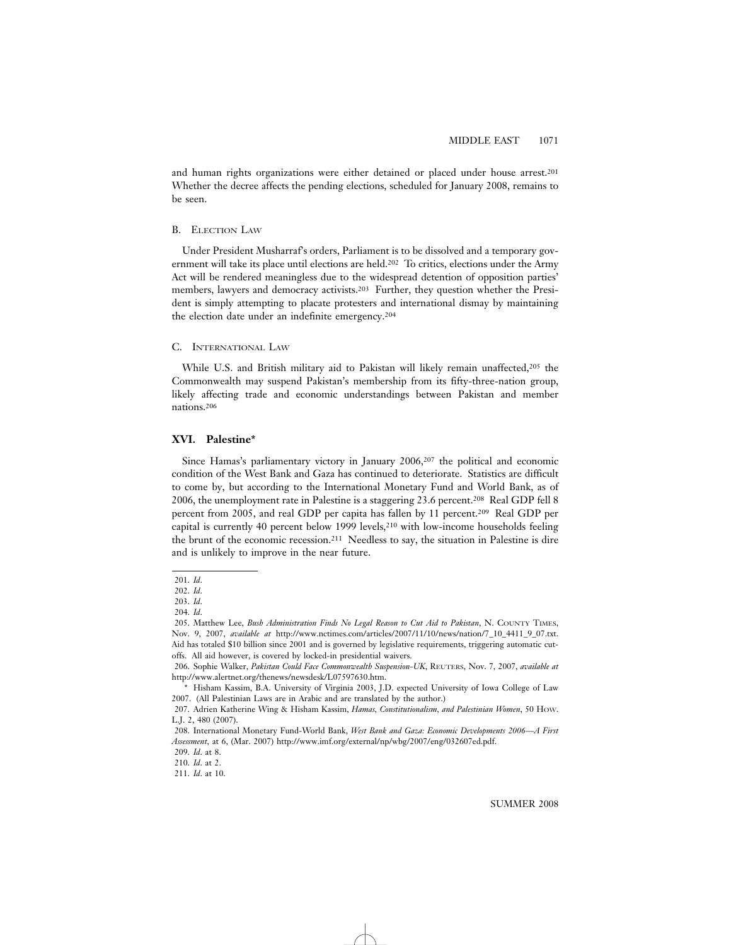and human rights organizations were either detained or placed under house arrest.201 Whether the decree affects the pending elections, scheduled for January 2008, remains to be seen.

#### B. ELECTION LAW

Under President Musharraf's orders, Parliament is to be dissolved and a temporary government will take its place until elections are held.202 To critics, elections under the Army Act will be rendered meaningless due to the widespread detention of opposition parties' members, lawyers and democracy activists.203 Further, they question whether the President is simply attempting to placate protesters and international dismay by maintaining the election date under an indefinite emergency.204

# C. INTERNATIONAL LAW

While U.S. and British military aid to Pakistan will likely remain unaffected,<sup>205</sup> the Commonwealth may suspend Pakistan's membership from its fifty-three-nation group, likely affecting trade and economic understandings between Pakistan and member nations.206

# **XVI. Palestine\***

Since Hamas's parliamentary victory in January 2006,207 the political and economic condition of the West Bank and Gaza has continued to deteriorate. Statistics are difficult to come by, but according to the International Monetary Fund and World Bank, as of 2006, the unemployment rate in Palestine is a staggering 23.6 percent.208 Real GDP fell 8 percent from 2005, and real GDP per capita has fallen by 11 percent.209 Real GDP per capital is currently 40 percent below 1999 levels, $2^{10}$  with low-income households feeling the brunt of the economic recession.211 Needless to say, the situation in Palestine is dire and is unlikely to improve in the near future.

<sup>201.</sup> *Id*.

<sup>202.</sup> *Id*.

<sup>203.</sup> *Id*.

<sup>204.</sup> *Id*.

<sup>205.</sup> Matthew Lee, *Bush Administration Finds No Legal Reason to Cut Aid to Pakistan*, N. COUNTY TIMES, Nov. 9, 2007, *available at* http://www.nctimes.com/articles/2007/11/10/news/nation/7\_10\_4411\_9\_07.txt. Aid has totaled \$10 billion since 2001 and is governed by legislative requirements, triggering automatic cutoffs. All aid however, is covered by locked-in presidential waivers.

<sup>206.</sup> Sophie Walker, *Pakistan Could Face Commonwealth Suspension-UK*, REUTERS, Nov. 7, 2007, *available at* http://www.alertnet.org/thenews/newsdesk/L07597630.htm.

<sup>\*</sup> Hisham Kassim, B.A. University of Virginia 2003, J.D. expected University of Iowa College of Law 2007. (All Palestinian Laws are in Arabic and are translated by the author.)

<sup>207.</sup> Adrien Katherine Wing & Hisham Kassim, *Hamas, Constitutionalism, and Palestinian Women*, 50 HOW. L.J. 2, 480 (2007).

<sup>208.</sup> International Monetary Fund-World Bank, *West Bank and Gaza: Economic Developments 2006—A First Assessment*, at 6, (Mar. 2007) http://www.imf.org/external/np/wbg/2007/eng/032607ed.pdf.

<sup>209.</sup> *Id*. at 8.

<sup>210.</sup> *Id*. at 2.

<sup>211.</sup> *Id*. at 10.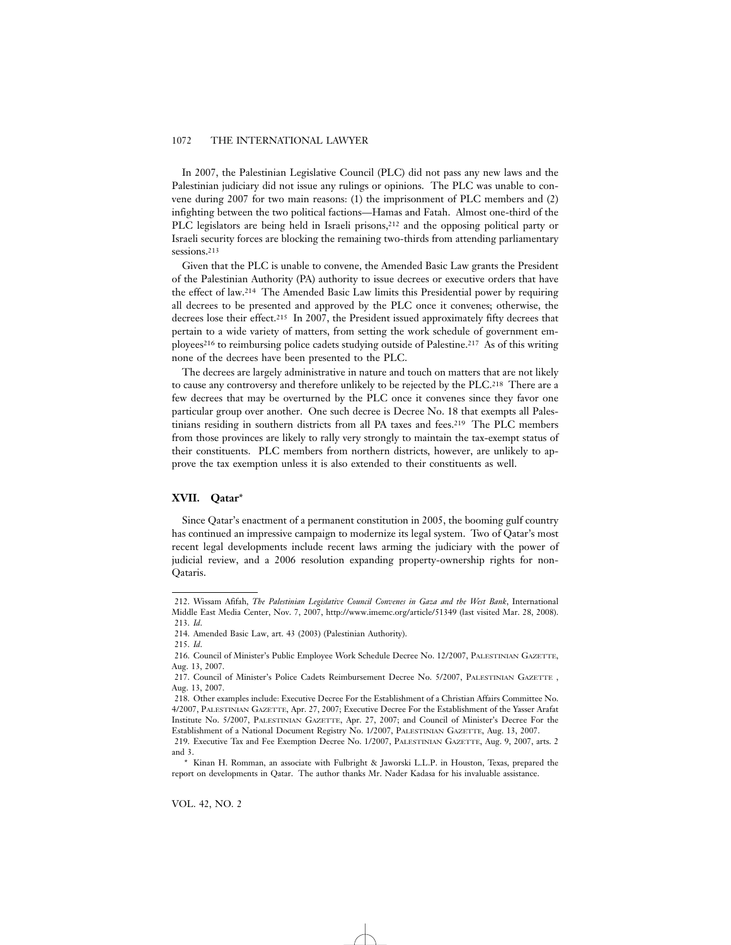In 2007, the Palestinian Legislative Council (PLC) did not pass any new laws and the Palestinian judiciary did not issue any rulings or opinions. The PLC was unable to convene during 2007 for two main reasons: (1) the imprisonment of PLC members and (2) infighting between the two political factions—Hamas and Fatah. Almost one-third of the PLC legislators are being held in Israeli prisons,<sup>212</sup> and the opposing political party or Israeli security forces are blocking the remaining two-thirds from attending parliamentary sessions.<sup>213</sup>

Given that the PLC is unable to convene, the Amended Basic Law grants the President of the Palestinian Authority (PA) authority to issue decrees or executive orders that have the effect of law.214 The Amended Basic Law limits this Presidential power by requiring all decrees to be presented and approved by the PLC once it convenes; otherwise, the decrees lose their effect.215 In 2007, the President issued approximately fifty decrees that pertain to a wide variety of matters, from setting the work schedule of government employees<sup>216</sup> to reimbursing police cadets studying outside of Palestine.<sup>217</sup> As of this writing none of the decrees have been presented to the PLC.

The decrees are largely administrative in nature and touch on matters that are not likely to cause any controversy and therefore unlikely to be rejected by the PLC.218 There are a few decrees that may be overturned by the PLC once it convenes since they favor one particular group over another. One such decree is Decree No. 18 that exempts all Palestinians residing in southern districts from all PA taxes and fees.219 The PLC members from those provinces are likely to rally very strongly to maintain the tax-exempt status of their constituents. PLC members from northern districts, however, are unlikely to approve the tax exemption unless it is also extended to their constituents as well.

# **XVII. Qatar**\*

Since Qatar's enactment of a permanent constitution in 2005, the booming gulf country has continued an impressive campaign to modernize its legal system. Two of Qatar's most recent legal developments include recent laws arming the judiciary with the power of judicial review, and a 2006 resolution expanding property-ownership rights for non-Qataris.

<sup>212.</sup> Wissam Afifah, *The Palestinian Legislative Council Convenes in Gaza and the West Bank*, International Middle East Media Center, Nov. 7, 2007, http://www.imemc.org/article/51349 (last visited Mar. 28, 2008). 213. *Id*.

<sup>214.</sup> Amended Basic Law, art. 43 (2003) (Palestinian Authority).

<sup>215.</sup> *Id*.

<sup>216.</sup> Council of Minister's Public Employee Work Schedule Decree No. 12/2007, PALESTINIAN GAZETTE, Aug. 13, 2007.

<sup>217.</sup> Council of Minister's Police Cadets Reimbursement Decree No. 5/2007, PALESTINIAN GAZETTE , Aug. 13, 2007.

<sup>218.</sup> Other examples include: Executive Decree For the Establishment of a Christian Affairs Committee No. 4/2007, PALESTINIAN GAZETTE, Apr. 27, 2007; Executive Decree For the Establishment of the Yasser Arafat Institute No. 5/2007, PALESTINIAN GAZETTE, Apr. 27, 2007; and Council of Minister's Decree For the Establishment of a National Document Registry No. 1/2007, PALESTINIAN GAZETTE, Aug. 13, 2007. 219. Executive Tax and Fee Exemption Decree No. 1/2007, PALESTINIAN GAZETTE, Aug. 9, 2007, arts. 2

and 3. \* Kinan H. Romman, an associate with Fulbright & Jaworski L.L.P. in Houston, Texas, prepared the report on developments in Qatar. The author thanks Mr. Nader Kadasa for his invaluable assistance.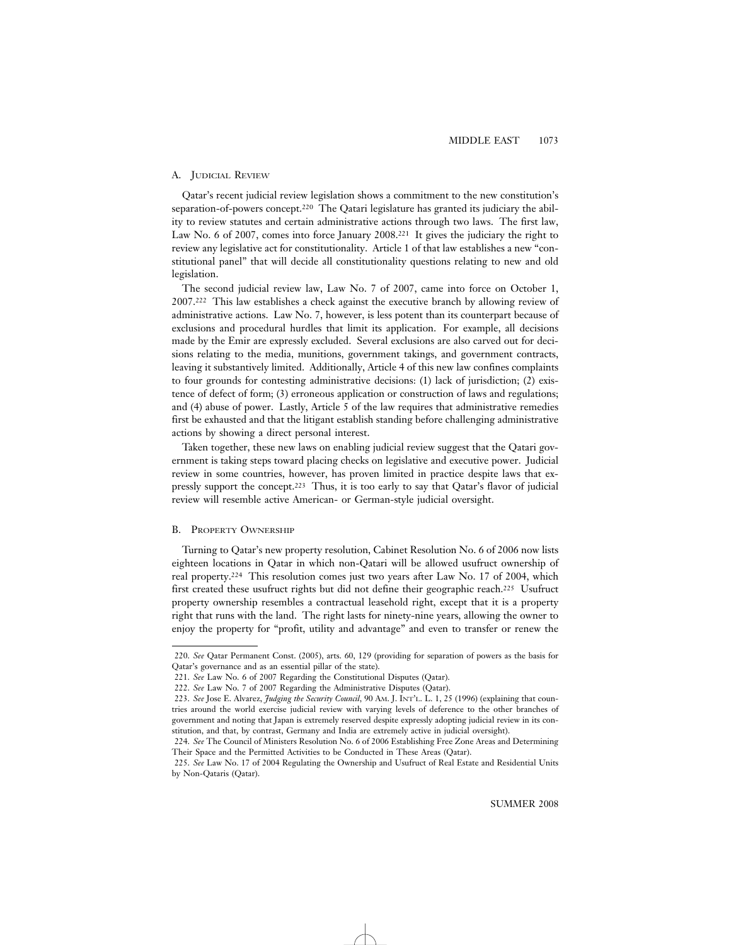# A. JUDICIAL REVIEW

Qatar's recent judicial review legislation shows a commitment to the new constitution's separation-of-powers concept.220 The Qatari legislature has granted its judiciary the ability to review statutes and certain administrative actions through two laws. The first law, Law No. 6 of 2007, comes into force January 2008.<sup>221</sup> It gives the judiciary the right to review any legislative act for constitutionality. Article 1 of that law establishes a new "constitutional panel" that will decide all constitutionality questions relating to new and old legislation.

The second judicial review law, Law No. 7 of 2007, came into force on October 1, 2007.222 This law establishes a check against the executive branch by allowing review of administrative actions. Law No. 7, however, is less potent than its counterpart because of exclusions and procedural hurdles that limit its application. For example, all decisions made by the Emir are expressly excluded. Several exclusions are also carved out for decisions relating to the media, munitions, government takings, and government contracts, leaving it substantively limited. Additionally, Article 4 of this new law confines complaints to four grounds for contesting administrative decisions: (1) lack of jurisdiction; (2) existence of defect of form; (3) erroneous application or construction of laws and regulations; and (4) abuse of power. Lastly, Article 5 of the law requires that administrative remedies first be exhausted and that the litigant establish standing before challenging administrative actions by showing a direct personal interest.

Taken together, these new laws on enabling judicial review suggest that the Qatari government is taking steps toward placing checks on legislative and executive power. Judicial review in some countries, however, has proven limited in practice despite laws that expressly support the concept.223 Thus, it is too early to say that Qatar's flavor of judicial review will resemble active American- or German-style judicial oversight.

### B. PROPERTY OWNERSHIP

Turning to Qatar's new property resolution, Cabinet Resolution No. 6 of 2006 now lists eighteen locations in Qatar in which non-Qatari will be allowed usufruct ownership of real property.224 This resolution comes just two years after Law No. 17 of 2004, which first created these usufruct rights but did not define their geographic reach.225 Usufruct property ownership resembles a contractual leasehold right, except that it is a property right that runs with the land. The right lasts for ninety-nine years, allowing the owner to enjoy the property for "profit, utility and advantage" and even to transfer or renew the

<sup>220.</sup> *See* Qatar Permanent Const. (2005), arts. 60, 129 (providing for separation of powers as the basis for Qatar's governance and as an essential pillar of the state).

<sup>221.</sup> *See* Law No. 6 of 2007 Regarding the Constitutional Disputes (Qatar).

<sup>222.</sup> *See* Law No. 7 of 2007 Regarding the Administrative Disputes (Qatar).

<sup>223.</sup> *See* Jose E. Alvarez, *Judging the Security Council*, 90 AM. J. INT'L. L. 1, 25 (1996) (explaining that countries around the world exercise judicial review with varying levels of deference to the other branches of government and noting that Japan is extremely reserved despite expressly adopting judicial review in its constitution, and that, by contrast, Germany and India are extremely active in judicial oversight).

<sup>224.</sup> *See* The Council of Ministers Resolution No. 6 of 2006 Establishing Free Zone Areas and Determining Their Space and the Permitted Activities to be Conducted in These Areas (Qatar).

<sup>225.</sup> *See* Law No. 17 of 2004 Regulating the Ownership and Usufruct of Real Estate and Residential Units by Non-Qataris (Qatar).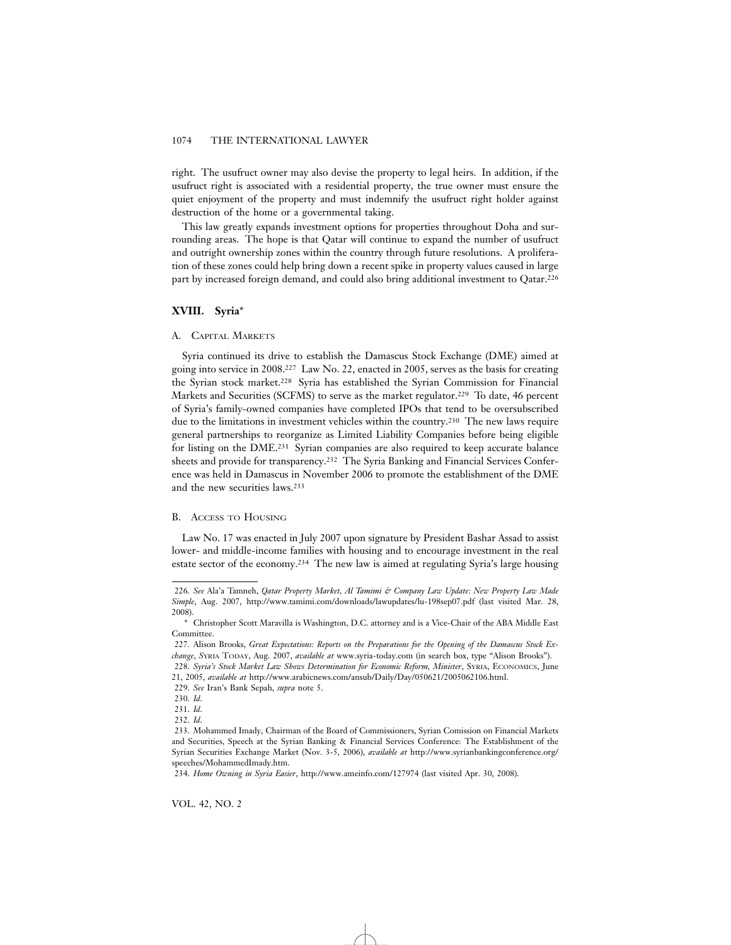right. The usufruct owner may also devise the property to legal heirs. In addition, if the usufruct right is associated with a residential property, the true owner must ensure the quiet enjoyment of the property and must indemnify the usufruct right holder against destruction of the home or a governmental taking.

This law greatly expands investment options for properties throughout Doha and surrounding areas. The hope is that Qatar will continue to expand the number of usufruct and outright ownership zones within the country through future resolutions. A proliferation of these zones could help bring down a recent spike in property values caused in large part by increased foreign demand, and could also bring additional investment to Qatar.226

# **XVIII. Syria**\*

#### A. CAPITAL MARKETS

Syria continued its drive to establish the Damascus Stock Exchange (DME) aimed at going into service in 2008.227 Law No. 22, enacted in 2005, serves as the basis for creating the Syrian stock market.228 Syria has established the Syrian Commission for Financial Markets and Securities (SCFMS) to serve as the market regulator.229 To date, 46 percent of Syria's family-owned companies have completed IPOs that tend to be oversubscribed due to the limitations in investment vehicles within the country.230 The new laws require general partnerships to reorganize as Limited Liability Companies before being eligible for listing on the DME.231 Syrian companies are also required to keep accurate balance sheets and provide for transparency.232 The Syria Banking and Financial Services Conference was held in Damascus in November 2006 to promote the establishment of the DME and the new securities laws.233

### B. ACCESS TO HOUSING

Law No. 17 was enacted in July 2007 upon signature by President Bashar Assad to assist lower- and middle-income families with housing and to encourage investment in the real estate sector of the economy.234 The new law is aimed at regulating Syria's large housing

<sup>226.</sup> *See* Ala'a Tamneh, *Qatar Property Market, Al Tamimi & Company Law Update: New Property Law Made Simple*, Aug. 2007, http://www.tamimi.com/downloads/lawupdates/lu-198sep07.pdf (last visited Mar. 28, 2008).

<sup>\*</sup> Christopher Scott Maravilla is Washington, D.C. attorney and is a Vice-Chair of the ABA Middle East Committee.

<sup>227.</sup> Alison Brooks, *Great Expectations: Reports on the Preparations for the Opening of the Damascus Stock Exchange*, *S*YRIA TODAY, Aug. 2007, *available at* www.syria-today.com (in search box, type "Alison Brooks"). 228. *Syria's Stock Market Law Shows Determination for Economic Reform, Minister*, SYRIA, ECONOMICS, June 21, 2005, *available at* http://www.arabicnews.com/ansub/Daily/Day/050621/2005062106.html.

<sup>229.</sup> *See* Iran's Bank Sepah, *supra* note 5.

<sup>230.</sup> *Id*.

<sup>231.</sup> *Id*.

<sup>232.</sup> *Id*.

<sup>233.</sup> Mohammed Imady, Chairman of the Board of Commissioners, Syrian Comission on Financial Markets and Securities, Speech at the Syrian Banking & Financial Services Conference: The Establishment of the Syrian Securities Exchange Market (Nov. 3-5, 2006), *available at* http://www.syrianbankingconference.org/ speeches/MohammedImady.htm.

<sup>234.</sup> *Home Owning in Syria Easier*, http://www.ameinfo.com/127974 (last visited Apr. 30, 2008).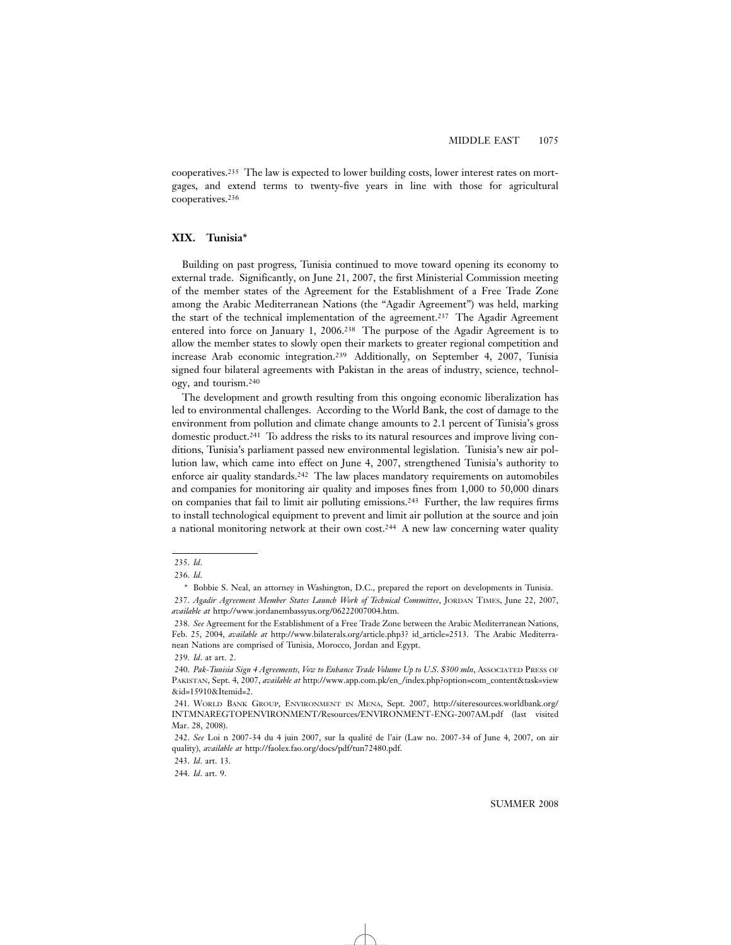cooperatives.235 The law is expected to lower building costs, lower interest rates on mortgages, and extend terms to twenty-five years in line with those for agricultural cooperatives.236

# **XIX. Tunisia\***

Building on past progress, Tunisia continued to move toward opening its economy to external trade. Significantly, on June 21, 2007, the first Ministerial Commission meeting of the member states of the Agreement for the Establishment of a Free Trade Zone among the Arabic Mediterranean Nations (the "Agadir Agreement") was held, marking the start of the technical implementation of the agreement.237 The Agadir Agreement entered into force on January 1, 2006.238 The purpose of the Agadir Agreement is to allow the member states to slowly open their markets to greater regional competition and increase Arab economic integration.239 Additionally, on September 4, 2007, Tunisia signed four bilateral agreements with Pakistan in the areas of industry, science, technology, and tourism.240

The development and growth resulting from this ongoing economic liberalization has led to environmental challenges. According to the World Bank, the cost of damage to the environment from pollution and climate change amounts to 2.1 percent of Tunisia's gross domestic product.241 To address the risks to its natural resources and improve living conditions, Tunisia's parliament passed new environmental legislation. Tunisia's new air pollution law, which came into effect on June 4, 2007, strengthened Tunisia's authority to enforce air quality standards.242 The law places mandatory requirements on automobiles and companies for monitoring air quality and imposes fines from 1,000 to 50,000 dinars on companies that fail to limit air polluting emissions.243 Further, the law requires firms to install technological equipment to prevent and limit air pollution at the source and join a national monitoring network at their own cost.244 A new law concerning water quality

243. *Id*. art. 13.

244. *Id*. art. 9.

<sup>235.</sup> *Id*.

<sup>236.</sup> *Id*.

<sup>\*</sup> Bobbie S. Neal, an attorney in Washington, D.C., prepared the report on developments in Tunisia. 237. *Agadir Agreement Member States Launch Work of Technical Committee*, JORDAN TIMES, June 22, 2007, *available at* http://www.jordanembassyus.org/06222007004.htm.

<sup>238.</sup> *See* Agreement for the Establishment of a Free Trade Zone between the Arabic Mediterranean Nations, Feb. 25, 2004, *available at* http://www.bilaterals.org/article.php3? id\_article=2513. The Arabic Mediterranean Nations are comprised of Tunisia, Morocco, Jordan and Egypt.

<sup>239.</sup> *Id*. at art. 2.

<sup>240.</sup> *Pak-Tunisia Sign 4 Agreements, Vow to Enhance Trade Volume Up to U*.*S*. *\$300 mln*, ASSOCIATED PRESS OF PAKISTAN, Sept. 4, 2007, *available at* http://www.app.com.pk/en\_/index.php?option=com\_content&task=view &id=15910&Itemid=2.

<sup>241.</sup> WORLD BANK GROUP, ENVIRONMENT IN MENA, Sept. 2007, http://siteresources.worldbank.org/ INTMNAREGTOPENVIRONMENT/Resources/ENVIRONMENT-ENG-2007AM.pdf (last visited Mar. 28, 2008).

<sup>242.</sup> *See* Loi n 2007-34 du 4 juin 2007, sur la qualité de l'air (Law no. 2007-34 of June 4, 2007, on air quality), *available at* http://faolex.fao.org/docs/pdf/tun72480.pdf.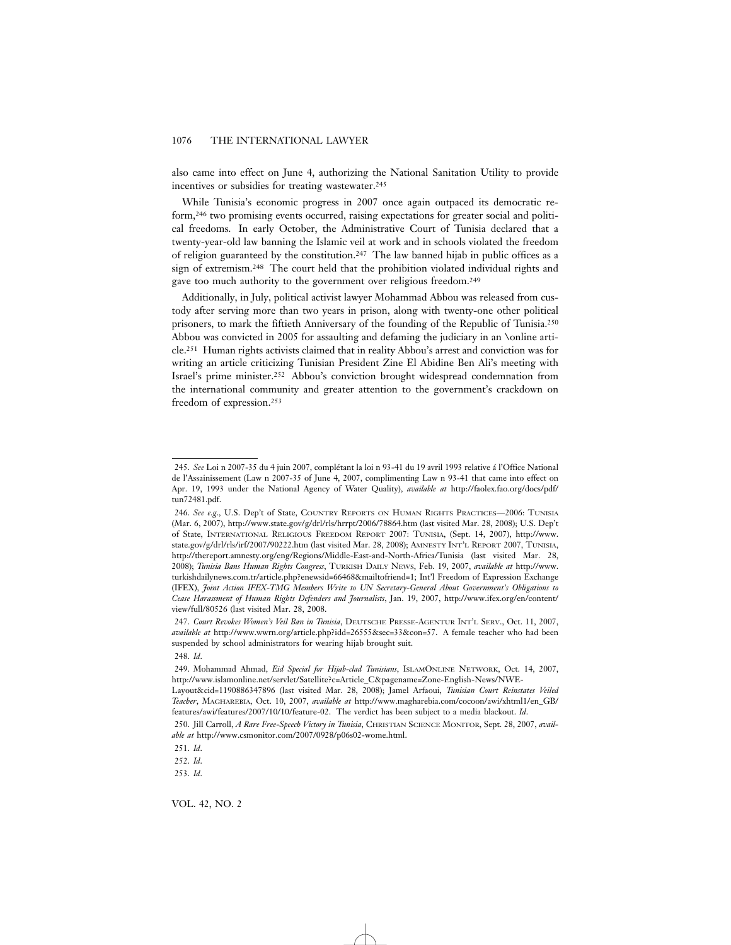also came into effect on June 4, authorizing the National Sanitation Utility to provide incentives or subsidies for treating wastewater.<sup>245</sup>

While Tunisia's economic progress in 2007 once again outpaced its democratic reform,246 two promising events occurred, raising expectations for greater social and political freedoms. In early October, the Administrative Court of Tunisia declared that a twenty-year-old law banning the Islamic veil at work and in schools violated the freedom of religion guaranteed by the constitution.247 The law banned hijab in public offices as a sign of extremism.248 The court held that the prohibition violated individual rights and gave too much authority to the government over religious freedom.249

Additionally, in July, political activist lawyer Mohammad Abbou was released from custody after serving more than two years in prison, along with twenty-one other political prisoners, to mark the fiftieth Anniversary of the founding of the Republic of Tunisia.250 Abbou was convicted in 2005 for assaulting and defaming the judiciary in an \online article.251 Human rights activists claimed that in reality Abbou's arrest and conviction was for writing an article criticizing Tunisian President Zine El Abidine Ben Ali's meeting with Israel's prime minister.252 Abbou's conviction brought widespread condemnation from the international community and greater attention to the government's crackdown on freedom of expression.253

VOL. 42, NO. 2

<sup>245.</sup> See Loi n 2007-35 du 4 juin 2007, complétant la loi n 93-41 du 19 avril 1993 relative á l'Office National de l'Assainissement (Law n 2007-35 of June 4, 2007, complimenting Law n 93-41 that came into effect on Apr. 19, 1993 under the National Agency of Water Quality), *available at* http://faolex.fao.org/docs/pdf/ tun72481.pdf.

<sup>246.</sup> *See e*.*g*., U.S. Dep't of State, COUNTRY REPORTS ON HUMAN RIGHTS PRACTICES—2006: TUNISIA (Mar. 6, 2007), http://www.state.gov/g/drl/rls/hrrpt/2006/78864.htm (last visited Mar. 28, 2008); U.S. Dep't of State, INTERNATIONAL RELIGIOUS FREEDOM REPORT 2007: TUNISIA, (Sept. 14, 2007), http://www. state.gov/g/drl/rls/irf/2007/90222.htm (last visited Mar. 28, 2008); AMNESTY INT'L REPORT 2007, TUNISIA, http://thereport.amnesty.org/eng/Regions/Middle-East-and-North-Africa/Tunisia (last visited Mar. 28, 2008); *Tunisia Bans Human Rights Congress*, TURKISH DAILY NEWS, Feb. 19, 2007, *available at* http://www. turkishdailynews.com.tr/article.php?enewsid=66468&mailtofriend=1; Int'l Freedom of Expression Exchange (IFEX), *Joint Action IFEX-TMG Members Write to UN Secretary-General About Government's Obligations to Cease Harassment of Human Rights Defenders and Journalists*, Jan. 19, 2007, http://www.ifex.org/en/content/ view/full/80526 (last visited Mar. 28, 2008.

<sup>247.</sup> *Court Revokes Women's Veil Ban in Tunisia*, DEUTSCHE PRESSE-AGENTUR INT'L SERV., Oct. 11, 2007, *available at* http://www.wwrn.org/article.php?idd=26555&sec=33&con=57. A female teacher who had been suspended by school administrators for wearing hijab brought suit.

<sup>248.</sup> *Id*.

<sup>249.</sup> Mohammad Ahmad, *Eid Special for Hijab-clad Tunisians*, ISLAMONLINE NETWORK, Oct. 14, 2007, http://www.islamonline.net/servlet/Satellite?c=Article\_C&pagename=Zone-English-News/NWE-

Layout&cid=1190886347896 (last visited Mar. 28, 2008); Jamel Arfaoui, *Tunisian Court Reinstates Veiled Teacher*, MAGHAREBIA, Oct. 10, 2007, *available at* http://www.magharebia.com/cocoon/awi/xhtml1/en\_GB/ features/awi/features/2007/10/10/feature-02. The verdict has been subject to a media blackout. *Id*.

<sup>250.</sup> Jill Carroll, *A Rare Free-Speech Victory in Tunisia*, CHRISTIAN SCIENCE MONITOR, Sept. 28, 2007, *available at* http://www.csmonitor.com/2007/0928/p06s02-wome.html.

<sup>251.</sup> *Id*.

<sup>252.</sup> *Id*.

<sup>253.</sup> *Id*.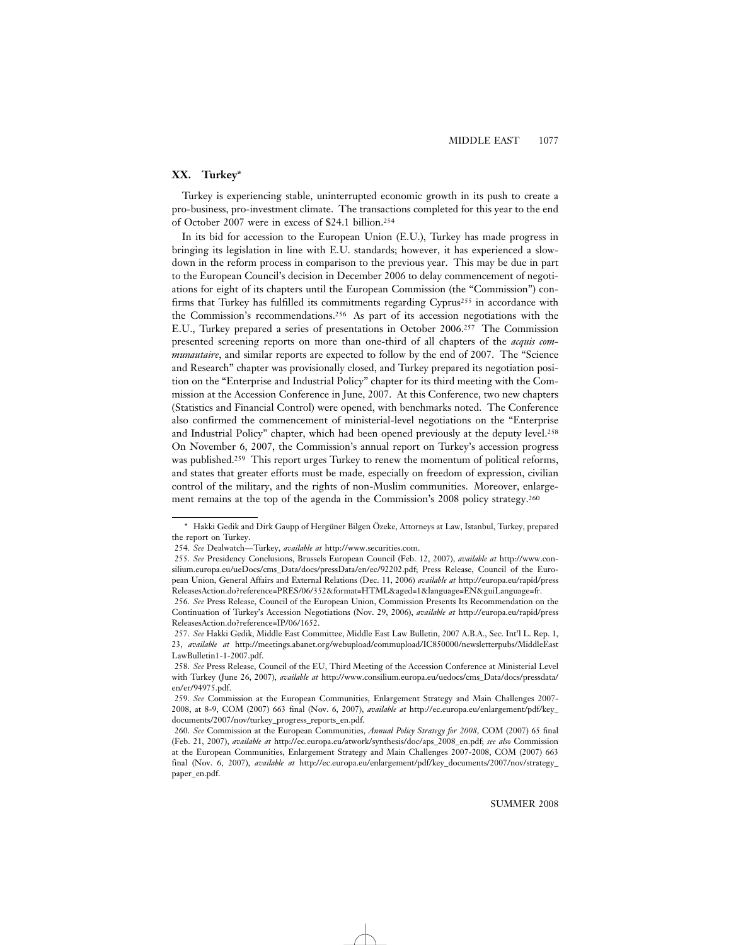# **XX. Turkey**\*

Turkey is experiencing stable, uninterrupted economic growth in its push to create a pro-business, pro-investment climate. The transactions completed for this year to the end of October 2007 were in excess of \$24.1 billion.254

In its bid for accession to the European Union (E.U.), Turkey has made progress in bringing its legislation in line with E.U. standards; however, it has experienced a slowdown in the reform process in comparison to the previous year. This may be due in part to the European Council's decision in December 2006 to delay commencement of negotiations for eight of its chapters until the European Commission (the "Commission") confirms that Turkey has fulfilled its commitments regarding Cyprus255 in accordance with the Commission's recommendations.256 As part of its accession negotiations with the E.U., Turkey prepared a series of presentations in October 2006.257 The Commission presented screening reports on more than one-third of all chapters of the *acquis communautaire*, and similar reports are expected to follow by the end of 2007. The "Science and Research" chapter was provisionally closed, and Turkey prepared its negotiation position on the "Enterprise and Industrial Policy" chapter for its third meeting with the Commission at the Accession Conference in June, 2007. At this Conference, two new chapters (Statistics and Financial Control) were opened, with benchmarks noted. The Conference also confirmed the commencement of ministerial-level negotiations on the "Enterprise and Industrial Policy" chapter, which had been opened previously at the deputy level.258 On November 6, 2007, the Commission's annual report on Turkey's accession progress was published.<sup>259</sup> This report urges Turkey to renew the momentum of political reforms, and states that greater efforts must be made, especially on freedom of expression, civilian control of the military, and the rights of non-Muslim communities. Moreover, enlargement remains at the top of the agenda in the Commission's 2008 policy strategy.260

<sup>\*</sup> Hakki Gedik and Dirk Gaupp of Hergüner Bilgen Özeke, Attorneys at Law, Istanbul, Turkey, prepared the report on Turkey.

<sup>254.</sup> *See* Dealwatch—Turkey, *available at* http://www.securities.com.

<sup>255.</sup> *See* Presidency Conclusions, Brussels European Council (Feb. 12, 2007), *available at* http://www.consilium.europa.eu/ueDocs/cms\_Data/docs/pressData/en/ec/92202.pdf; Press Release, Council of the European Union, General Affairs and External Relations (Dec. 11, 2006) *available at* http://europa.eu/rapid/press ReleasesAction.do?reference=PRES/06/352&format=HTML&aged=1&language=EN&guiLanguage=fr.

<sup>256.</sup> *See* Press Release, Council of the European Union, Commission Presents Its Recommendation on the Continuation of Turkey's Accession Negotiations (Nov. 29, 2006), *available at* http://europa.eu/rapid/press ReleasesAction.do?reference=IP/06/1652.

<sup>257.</sup> *See* Hakki Gedik, Middle East Committee, Middle East Law Bulletin, 2007 A.B.A., Sec. Int'l L. Rep. 1, 23, *available at* http://meetings.abanet.org/webupload/commupload/IC850000/newsletterpubs/MiddleEast LawBulletin1-1-2007.pdf.

<sup>258.</sup> *See* Press Release, Council of the EU, Third Meeting of the Accession Conference at Ministerial Level with Turkey (June 26, 2007), *available at* http://www.consilium.europa.eu/uedocs/cms\_Data/docs/pressdata/ en/er/94975.pdf.

<sup>259.</sup> *See* Commission at the European Communities, Enlargement Strategy and Main Challenges 2007- 2008, at 8-9, COM (2007) 663 final (Nov. 6, 2007), *available at* http://ec.europa.eu/enlargement/pdf/key\_ documents/2007/nov/turkey\_progress\_reports\_en.pdf.

<sup>260.</sup> *See* Commission at the European Communities, *Annual Policy Strategy for 2008*, COM (2007) 65 final (Feb. 21, 2007), *available at* http://ec.europa.eu/atwork/synthesis/doc/aps\_2008\_en.pdf; *see also* Commission at the European Communities, Enlargement Strategy and Main Challenges 2007-2008, COM (2007) 663 final (Nov. 6, 2007), *available at* http://ec.europa.eu/enlargement/pdf/key\_documents/2007/nov/strategy\_ paper\_en.pdf.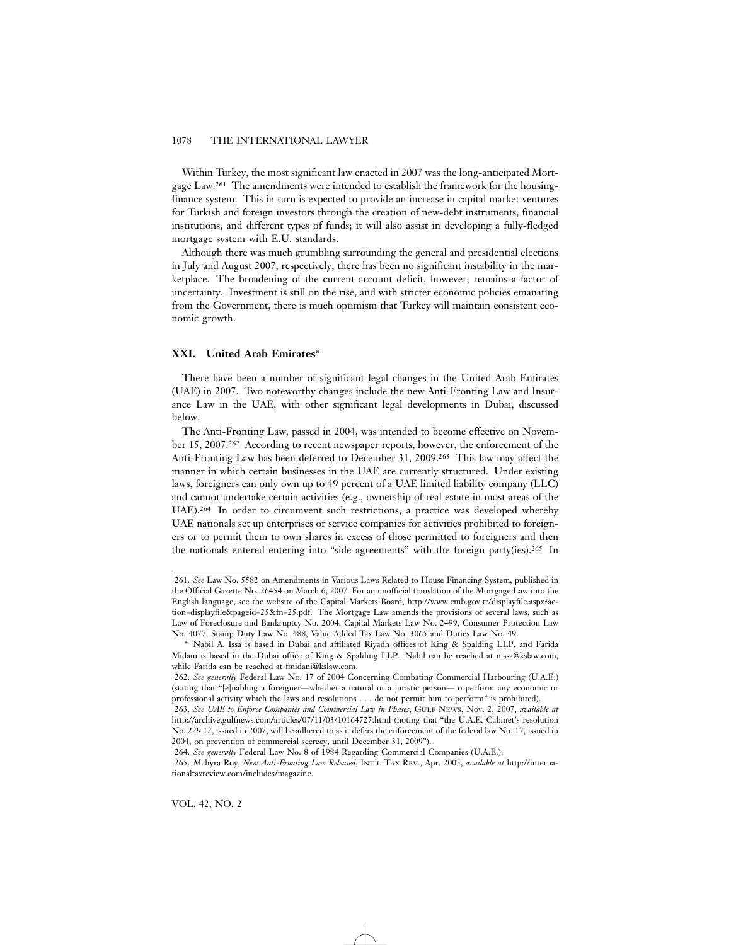Within Turkey, the most significant law enacted in 2007 was the long-anticipated Mortgage Law.261 The amendments were intended to establish the framework for the housingfinance system. This in turn is expected to provide an increase in capital market ventures for Turkish and foreign investors through the creation of new-debt instruments, financial institutions, and different types of funds; it will also assist in developing a fully-fledged mortgage system with E.U. standards.

Although there was much grumbling surrounding the general and presidential elections in July and August 2007, respectively, there has been no significant instability in the marketplace. The broadening of the current account deficit, however, remains a factor of uncertainty. Investment is still on the rise, and with stricter economic policies emanating from the Government, there is much optimism that Turkey will maintain consistent economic growth.

### **XXI. United Arab Emirates**\*

There have been a number of significant legal changes in the United Arab Emirates (UAE) in 2007. Two noteworthy changes include the new Anti-Fronting Law and Insurance Law in the UAE, with other significant legal developments in Dubai, discussed below.

The Anti-Fronting Law, passed in 2004, was intended to become effective on November 15, 2007.262 According to recent newspaper reports, however, the enforcement of the Anti-Fronting Law has been deferred to December 31, 2009.263 This law may affect the manner in which certain businesses in the UAE are currently structured. Under existing laws, foreigners can only own up to 49 percent of a UAE limited liability company (LLC) and cannot undertake certain activities (e.g., ownership of real estate in most areas of the UAE).264 In order to circumvent such restrictions, a practice was developed whereby UAE nationals set up enterprises or service companies for activities prohibited to foreigners or to permit them to own shares in excess of those permitted to foreigners and then the nationals entered entering into "side agreements" with the foreign party(ies).<sup>265</sup> In

<sup>261.</sup> *See* Law No. 5582 on Amendments in Various Laws Related to House Financing System, published in the Official Gazette No. 26454 on March 6, 2007. For an unofficial translation of the Mortgage Law into the English language, see the website of the Capital Markets Board, http://www.cmb.gov.tr/displayfile.aspx?action=displayfile&pageid=25&fn=25.pdf. The Mortgage Law amends the provisions of several laws, such as Law of Foreclosure and Bankruptcy No. 2004, Capital Markets Law No. 2499, Consumer Protection Law No. 4077, Stamp Duty Law No. 488, Value Added Tax Law No. 3065 and Duties Law No. 49.

<sup>\*</sup> Nabil A. Issa is based in Dubai and affiliated Riyadh offices of King & Spalding LLP, and Farida Midani is based in the Dubai office of King & Spalding LLP. Nabil can be reached at nissa@kslaw.com, while Farida can be reached at fmidani@kslaw.com.

<sup>262.</sup> *See generally* Federal Law No. 17 of 2004 Concerning Combating Commercial Harbouring (U.A.E.) (stating that "[e]nabling a foreigner—whether a natural or a juristic person—to perform any economic or professional activity which the laws and resolutions . . . do not permit him to perform" is prohibited).

<sup>263.</sup> *See UAE to Enforce Companies and Commercial Law in Phases*, GULF NEWS, Nov. 2, 2007, *available at* http://archive.gulfnews.com/articles/07/11/03/10164727.html (noting that "the U.A.E. Cabinet's resolution No. 229 12, issued in 2007, will be adhered to as it defers the enforcement of the federal law No. 17, issued in 2004, on prevention of commercial secrecy, until December 31, 2009").

<sup>264.</sup> *See generally* Federal Law No. 8 of 1984 Regarding Commercial Companies (U.A.E.).

<sup>265.</sup> Mahyra Roy, *New Anti-Fronting Law Released*, INT'L TAX REV., Apr. 2005, *available at* http://internationaltaxreview.com/includes/magazine.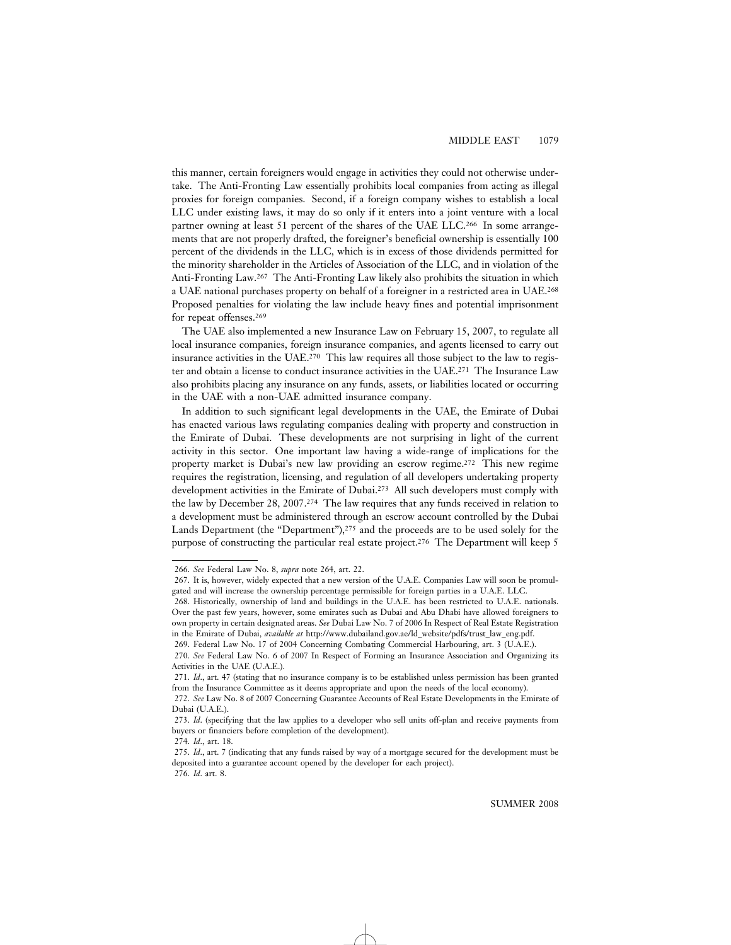this manner, certain foreigners would engage in activities they could not otherwise undertake. The Anti-Fronting Law essentially prohibits local companies from acting as illegal proxies for foreign companies. Second, if a foreign company wishes to establish a local LLC under existing laws, it may do so only if it enters into a joint venture with a local partner owning at least 51 percent of the shares of the UAE LLC.266 In some arrangements that are not properly drafted, the foreigner's beneficial ownership is essentially 100 percent of the dividends in the LLC, which is in excess of those dividends permitted for the minority shareholder in the Articles of Association of the LLC, and in violation of the Anti-Fronting Law.267 The Anti-Fronting Law likely also prohibits the situation in which a UAE national purchases property on behalf of a foreigner in a restricted area in UAE.268 Proposed penalties for violating the law include heavy fines and potential imprisonment for repeat offenses.269

The UAE also implemented a new Insurance Law on February 15, 2007, to regulate all local insurance companies, foreign insurance companies, and agents licensed to carry out insurance activities in the UAE.270 This law requires all those subject to the law to register and obtain a license to conduct insurance activities in the UAE.271 The Insurance Law also prohibits placing any insurance on any funds, assets, or liabilities located or occurring in the UAE with a non-UAE admitted insurance company.

In addition to such significant legal developments in the UAE, the Emirate of Dubai has enacted various laws regulating companies dealing with property and construction in the Emirate of Dubai. These developments are not surprising in light of the current activity in this sector. One important law having a wide-range of implications for the property market is Dubai's new law providing an escrow regime.272 This new regime requires the registration, licensing, and regulation of all developers undertaking property development activities in the Emirate of Dubai.273 All such developers must comply with the law by December 28, 2007.274 The law requires that any funds received in relation to a development must be administered through an escrow account controlled by the Dubai Lands Department (the "Department"),<sup>275</sup> and the proceeds are to be used solely for the purpose of constructing the particular real estate project.<sup>276</sup> The Department will keep 5

<sup>266.</sup> *See* Federal Law No. 8, *supra* note 264, art. 22.

<sup>267.</sup> It is, however, widely expected that a new version of the U.A.E. Companies Law will soon be promulgated and will increase the ownership percentage permissible for foreign parties in a U.A.E. LLC.

<sup>268.</sup> Historically, ownership of land and buildings in the U.A.E. has been restricted to U.A.E. nationals. Over the past few years, however, some emirates such as Dubai and Abu Dhabi have allowed foreigners to own property in certain designated areas. *See* Dubai Law No. 7 of 2006 In Respect of Real Estate Registration in the Emirate of Dubai, *available at* http://www.dubailand.gov.ae/ld\_website/pdfs/trust\_law\_eng.pdf.

<sup>269.</sup> Federal Law No. 17 of 2004 Concerning Combating Commercial Harbouring, art. 3 (U.A.E.).

<sup>270.</sup> *See* Federal Law No. 6 of 2007 In Respect of Forming an Insurance Association and Organizing its Activities in the UAE (U.A.E.).

<sup>271.</sup> *Id*., art. 47 (stating that no insurance company is to be established unless permission has been granted from the Insurance Committee as it deems appropriate and upon the needs of the local economy).

<sup>272.</sup> *See* Law No. 8 of 2007 Concerning Guarantee Accounts of Real Estate Developments in the Emirate of Dubai (U.A.E.).

<sup>273.</sup> *Id*. (specifying that the law applies to a developer who sell units off-plan and receive payments from buyers or financiers before completion of the development).

<sup>274.</sup> *Id*., art. 18.

<sup>275.</sup> *Id*., art. 7 (indicating that any funds raised by way of a mortgage secured for the development must be deposited into a guarantee account opened by the developer for each project). 276. *Id*. art. 8.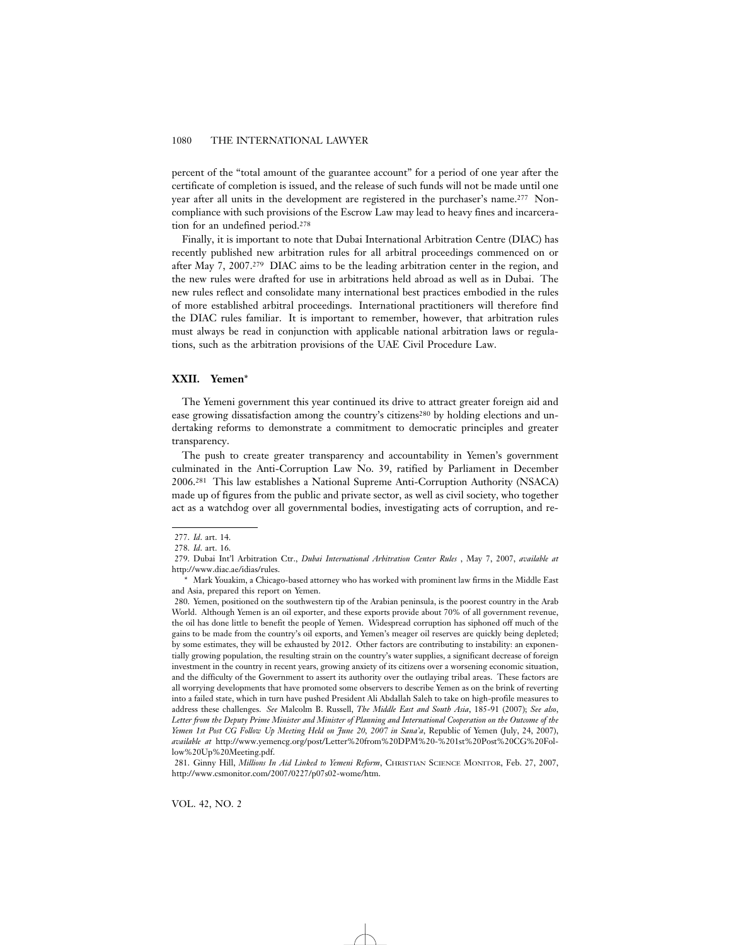percent of the "total amount of the guarantee account" for a period of one year after the certificate of completion is issued, and the release of such funds will not be made until one year after all units in the development are registered in the purchaser's name.277 Noncompliance with such provisions of the Escrow Law may lead to heavy fines and incarceration for an undefined period.278

Finally, it is important to note that Dubai International Arbitration Centre (DIAC) has recently published new arbitration rules for all arbitral proceedings commenced on or after May 7, 2007.279 DIAC aims to be the leading arbitration center in the region, and the new rules were drafted for use in arbitrations held abroad as well as in Dubai. The new rules reflect and consolidate many international best practices embodied in the rules of more established arbitral proceedings. International practitioners will therefore find the DIAC rules familiar. It is important to remember, however, that arbitration rules must always be read in conjunction with applicable national arbitration laws or regulations, such as the arbitration provisions of the UAE Civil Procedure Law.

# **XXII. Yemen**\*

The Yemeni government this year continued its drive to attract greater foreign aid and ease growing dissatisfaction among the country's citizens<sup>280</sup> by holding elections and undertaking reforms to demonstrate a commitment to democratic principles and greater transparency.

The push to create greater transparency and accountability in Yemen's government culminated in the Anti-Corruption Law No. 39, ratified by Parliament in December 2006.281 This law establishes a National Supreme Anti-Corruption Authority (NSACA) made up of figures from the public and private sector, as well as civil society, who together act as a watchdog over all governmental bodies, investigating acts of corruption, and re-

<sup>277.</sup> *Id*. art. 14.

<sup>278.</sup> *Id*. art. 16.

<sup>279.</sup> Dubai Int'l Arbitration Ctr., *Dubai International Arbitration Center Rules* , May 7, 2007, *available at* http://www.diac.ae/idias/rules.

<sup>\*</sup> Mark Youakim, a Chicago-based attorney who has worked with prominent law firms in the Middle East and Asia, prepared this report on Yemen.

<sup>280.</sup> Yemen, positioned on the southwestern tip of the Arabian peninsula, is the poorest country in the Arab World. Although Yemen is an oil exporter, and these exports provide about 70% of all government revenue, the oil has done little to benefit the people of Yemen. Widespread corruption has siphoned off much of the gains to be made from the country's oil exports, and Yemen's meager oil reserves are quickly being depleted; by some estimates, they will be exhausted by 2012. Other factors are contributing to instability: an exponentially growing population, the resulting strain on the country's water supplies, a significant decrease of foreign investment in the country in recent years, growing anxiety of its citizens over a worsening economic situation, and the difficulty of the Government to assert its authority over the outlaying tribal areas. These factors are all worrying developments that have promoted some observers to describe Yemen as on the brink of reverting into a failed state, which in turn have pushed President Ali Abdallah Saleh to take on high-profile measures to address these challenges. *See* Malcolm B. Russell, *The Middle East and South Asia*, 185-91 (2007); *See also*, *Letter from the Deputy Prime Minister and Minister of Planning and International Cooperation on the Outcome of the Yemen 1st Post CG Follow Up Meeting Held on June 20, 2007 in Sana'a*, Republic of Yemen (July, 24, 2007), *available at* http://www.yemencg.org/post/Letter%20from%20DPM%20-%201st%20Post%20CG%20Follow%20Up%20Meeting.pdf.

<sup>281.</sup> Ginny Hill, *Millions In Aid Linked to Yemeni Reform*, CHRISTIAN SCIENCE MONITOR, Feb. 27, 2007, http://www.csmonitor.com/2007/0227/p07s02-wome/htm.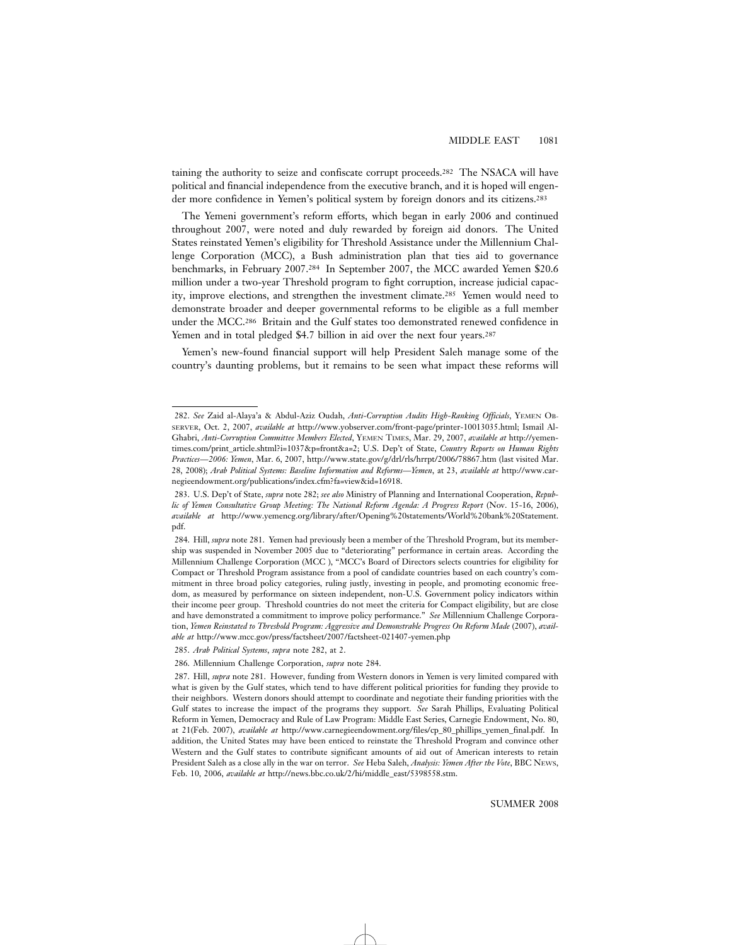taining the authority to seize and confiscate corrupt proceeds.282 The NSACA will have political and financial independence from the executive branch, and it is hoped will engender more confidence in Yemen's political system by foreign donors and its citizens.283

The Yemeni government's reform efforts, which began in early 2006 and continued throughout 2007, were noted and duly rewarded by foreign aid donors. The United States reinstated Yemen's eligibility for Threshold Assistance under the Millennium Challenge Corporation (MCC), a Bush administration plan that ties aid to governance benchmarks, in February 2007.284 In September 2007, the MCC awarded Yemen \$20.6 million under a two-year Threshold program to fight corruption, increase judicial capacity, improve elections, and strengthen the investment climate.285 Yemen would need to demonstrate broader and deeper governmental reforms to be eligible as a full member under the MCC.286 Britain and the Gulf states too demonstrated renewed confidence in Yemen and in total pledged \$4.7 billion in aid over the next four years.<sup>287</sup>

Yemen's new-found financial support will help President Saleh manage some of the country's daunting problems, but it remains to be seen what impact these reforms will

<sup>282.</sup> *See* Zaid al-Alaya'a & Abdul-Aziz Oudah, *Anti-Corruption Audits High-Ranking Officials*, YEMEN OB-SERVER, Oct. 2, 2007, *available at* http://www.yobserver.com/front-page/printer-10013035.html; Ismail Al-Ghabri, *Anti-Corruption Committee Members Elected*, YEMEN TIMES, Mar. 29, 2007, *available at* http://yementimes.com/print\_article.shtml?i=1037&p=front&a=2; U.S. Dep't of State, *Country Reports on Human Rights Practices—2006: Yemen*, Mar. 6, 2007, http://www.state.gov/g/drl/rls/hrrpt/2006/78867.htm (last visited Mar. 28, 2008); *Arab Political Systems: Baseline Information and Reforms—Yemen*, at 23, *available at* http://www.carnegieendowment.org/publications/index.cfm?fa=view&id=16918.

<sup>283.</sup> U.S. Dep't of State, *supra* note 282; *see also* Ministry of Planning and International Cooperation, *Republic of Yemen Consultative Group Meeting: The National Reform Agenda: A Progress Report* (Nov. 15-16, 2006), *available at* http://www.yemencg.org/library/after/Opening%20statements/World%20bank%20Statement. pdf.

<sup>284.</sup> Hill, *supra* note 281. Yemen had previously been a member of the Threshold Program, but its membership was suspended in November 2005 due to "deteriorating" performance in certain areas. According the Millennium Challenge Corporation (MCC ), "MCC's Board of Directors selects countries for eligibility for Compact or Threshold Program assistance from a pool of candidate countries based on each country's commitment in three broad policy categories, ruling justly, investing in people, and promoting economic freedom, as measured by performance on sixteen independent, non-U.S. Government policy indicators within their income peer group. Threshold countries do not meet the criteria for Compact eligibility, but are close and have demonstrated a commitment to improve policy performance." *See* Millennium Challenge Corporation, *Yemen Reinstated to Threshold Program: Aggressive and Demonstrable Progress On Reform Made* (2007), *available at* http://www.mcc.gov/press/factsheet/2007/factsheet-021407-yemen.php

<sup>285.</sup> *Arab Political Systems*, *supra* note 282, at 2.

<sup>286.</sup> Millennium Challenge Corporation, *supra* note 284.

<sup>287.</sup> Hill, *supra* note 281. However, funding from Western donors in Yemen is very limited compared with what is given by the Gulf states, which tend to have different political priorities for funding they provide to their neighbors. Western donors should attempt to coordinate and negotiate their funding priorities with the Gulf states to increase the impact of the programs they support. *See* Sarah Phillips, Evaluating Political Reform in Yemen, Democracy and Rule of Law Program: Middle East Series, Carnegie Endowment, No. 80, at 21(Feb. 2007), *available at* http://www.carnegieendowment.org/files/cp\_80\_phillips\_yemen\_final.pdf. In addition, the United States may have been enticed to reinstate the Threshold Program and convince other Western and the Gulf states to contribute significant amounts of aid out of American interests to retain President Saleh as a close ally in the war on terror. *See* Heba Saleh, *Analysis: Yemen After the Vote*, BBC NEWS, Feb. 10, 2006, *available at* http://news.bbc.co.uk/2/hi/middle\_east/5398558.stm.